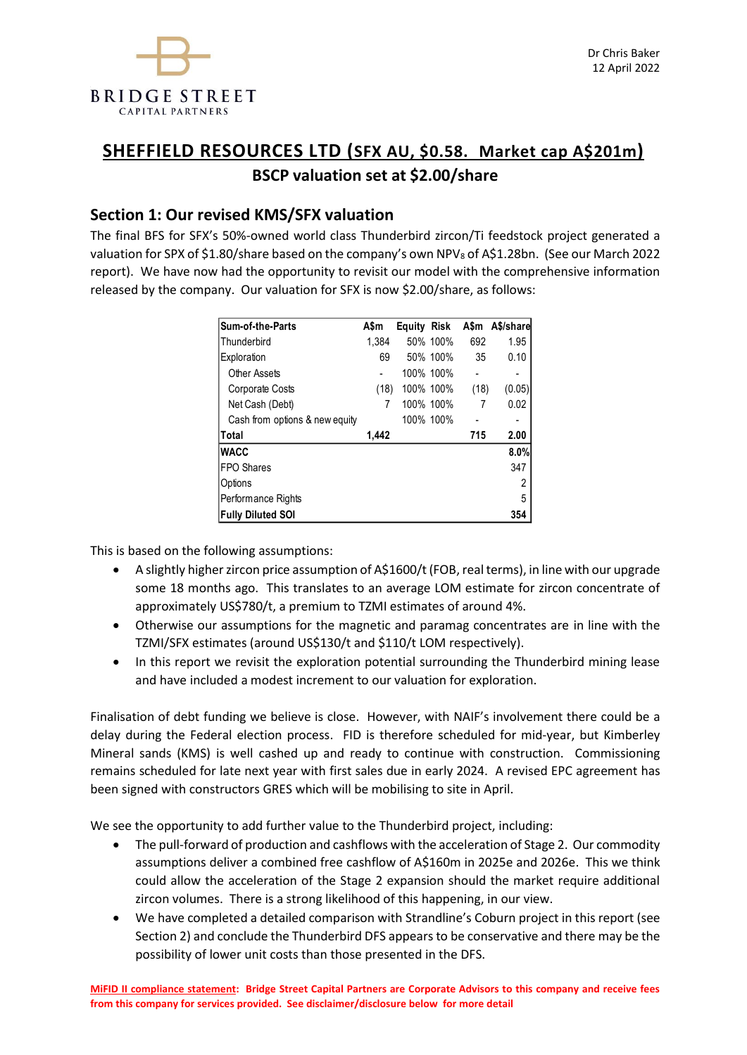

# **SHEFFIELD RESOURCES LTD (SFX AU, \$0.58. Market cap A\$201m) BSCP valuation set at \$2.00/share**

## **Section 1: Our revised KMS/SFX valuation**

The final BFS for SFX's 50%-owned world class Thunderbird zircon/Ti feedstock project generated a valuation for SPX of \$1.80/share based on the company's own NPV<sub>8</sub> of A\$1.28bn. (See our March 2022 report). We have now had the opportunity to revisit our model with the comprehensive information released by the company. Our valuation for SFX is now \$2.00/share, as follows:

| <b>Sum-of-the-Parts</b>        | A\$m  | <b>Equity Risk</b> |           | A\$m | A\$/share |
|--------------------------------|-------|--------------------|-----------|------|-----------|
| <b>Thunderbird</b>             | 1.384 |                    | 50% 100%  | 692  | 1.95      |
| Exploration                    | 69    |                    | 50% 100%  | 35   | 0.10      |
| Other Assets                   |       |                    | 100% 100% |      | -         |
| <b>Corporate Costs</b>         | (18)  |                    | 100% 100% | (18) | (0.05)    |
| Net Cash (Debt)                | 7     |                    | 100% 100% | 7    | 0.02      |
| Cash from options & new equity |       |                    | 100% 100% |      | -         |
| Total                          | 1,442 |                    |           | 715  | 2.00      |
| <b>WACC</b>                    |       |                    |           |      | 8.0%      |
| <b>FPO Shares</b>              |       |                    |           |      | 347       |
| Options                        |       |                    |           |      | 2         |
| Performance Rights             |       |                    |           |      | 5         |
| <b>Fully Diluted SOI</b>       |       |                    |           |      | 354       |

This is based on the following assumptions:

- A slightly higher zircon price assumption of A\$1600/t (FOB, real terms), in line with our upgrade some 18 months ago. This translates to an average LOM estimate for zircon concentrate of approximately US\$780/t, a premium to TZMI estimates of around 4%.
- Otherwise our assumptions for the magnetic and paramag concentrates are in line with the TZMI/SFX estimates (around US\$130/t and \$110/t LOM respectively).
- In this report we revisit the exploration potential surrounding the Thunderbird mining lease and have included a modest increment to our valuation for exploration.

Finalisation of debt funding we believe is close. However, with NAIF's involvement there could be a delay during the Federal election process. FID is therefore scheduled for mid-year, but Kimberley Mineral sands (KMS) is well cashed up and ready to continue with construction. Commissioning remains scheduled for late next year with first sales due in early 2024. A revised EPC agreement has been signed with constructors GRES which will be mobilising to site in April.

We see the opportunity to add further value to the Thunderbird project, including:

- The pull-forward of production and cashflows with the acceleration of Stage 2. Our commodity assumptions deliver a combined free cashflow of A\$160m in 2025e and 2026e. This we think could allow the acceleration of the Stage 2 expansion should the market require additional zircon volumes. There is a strong likelihood of this happening, in our view.
- We have completed a detailed comparison with Strandline's Coburn project in this report (see Section 2) and conclude the Thunderbird DFS appears to be conservative and there may be the possibility of lower unit costs than those presented in the DFS.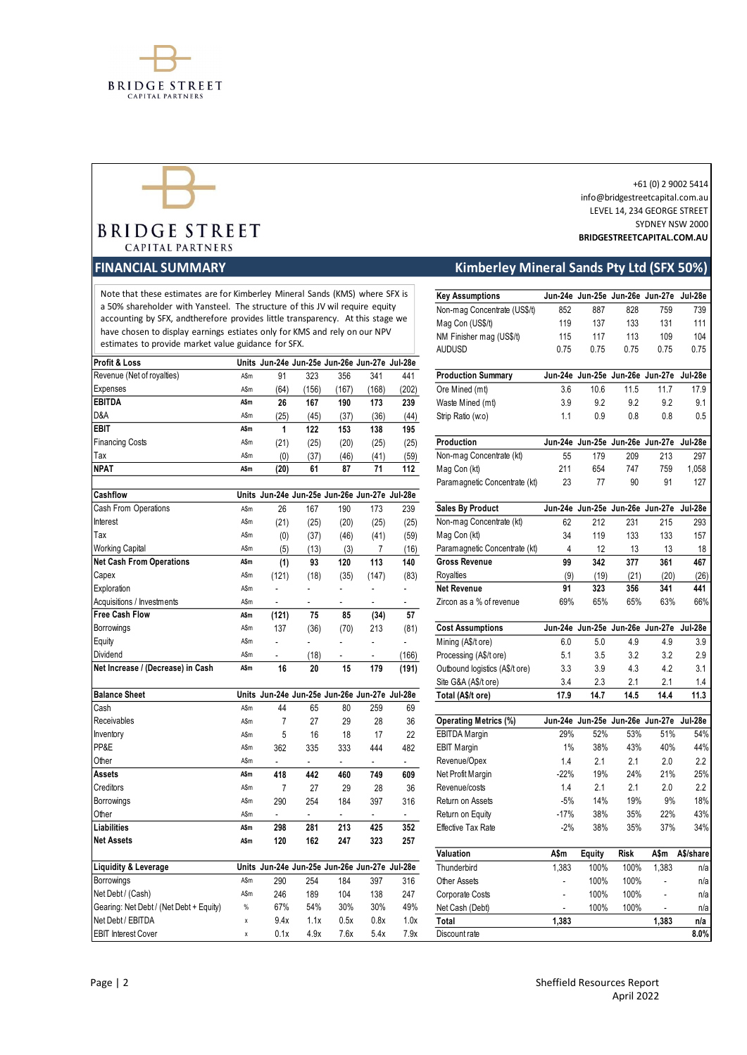



# **BRIDGE STREET CAPITAL PARTNERS**

| Profit & Loss                           |      | Units Jun-24e Jun-25e Jun-26e Jun-27e Jul-28e |       |                          |                          |                |                                |        |                                         |             |       |           |
|-----------------------------------------|------|-----------------------------------------------|-------|--------------------------|--------------------------|----------------|--------------------------------|--------|-----------------------------------------|-------------|-------|-----------|
| Revenue (Net of royalties)              | A\$m | 91                                            | 323   | 356                      | 341                      | 441            | <b>Production Summary</b>      |        | Jun-24e Jun-25e Jun-26e Jun-27e Jul-28e |             |       |           |
| Expenses                                | A\$m | (64)                                          | (156) | (167)                    | (168)                    | (202)          | Ore Mined (mt)                 | 3.6    | 10.6                                    | 11.5        | 11.7  | 17.9      |
| <b>EBITDA</b>                           | A\$m | 26                                            | 167   | 190                      | 173                      | 239            | Waste Mined (mt)               | 3.9    | 9.2                                     | 9.2         | 9.2   | 9.1       |
| D&A                                     | A\$m | (25)                                          | (45)  | (37)                     | (36)                     | (44)           | Strip Ratio (w.o)              | 1.1    | 0.9                                     | 0.8         | 0.8   | 0.5       |
| <b>EBIT</b>                             | A\$m | 1                                             | 122   | 153                      | 138                      | 195            |                                |        |                                         |             |       |           |
| <b>Financing Costs</b>                  | A\$m | (21)                                          | (25)  | (20)                     | (25)                     | (25)           | Production                     |        | Jun-24e Jun-25e Jun-26e Jun-27e Jul-28e |             |       |           |
| Tax                                     | A\$m | (0)                                           | (37)  | (46)                     | (41)                     | (59)           | Non-mag Concentrate (kt)       | 55     | 179                                     | 209         | 213   | 297       |
| <b>NPAT</b>                             | A\$m | (20)                                          | 61    | 87                       | 71                       | 112            | Mag Con (kt)                   | 211    | 654                                     | 747         | 759   | 1,058     |
|                                         |      |                                               |       |                          |                          |                | Paramagnetic Concentrate (kt)  | 23     | 77                                      | 90          | 91    | 127       |
| Cashflow                                |      | Units Jun-24e Jun-25e Jun-26e Jun-27e Jul-28e |       |                          |                          |                |                                |        |                                         |             |       |           |
| Cash From Operations                    | A\$m | 26                                            | 167   | 190                      | 173                      | 239            | <b>Sales By Product</b>        |        | Jun-24e Jun-25e Jun-26e Jun-27e         |             |       | Jul-28e   |
| Interest                                | A\$m | (21)                                          | (25)  | (20)                     | (25)                     | (25)           | Non-mag Concentrate (kt)       | 62     | 212                                     | 231         | 215   | 293       |
| Tax                                     | A\$m | (0)                                           | (37)  | (46)                     | (41)                     | (59)           | Mag Con (kt)                   | 34     | 119                                     | 133         | 133   | 157       |
| <b>Working Capital</b>                  | A\$m | (5)                                           | (13)  | (3)                      | 7                        | (16)           | Paramagnetic Concentrate (kt)  | 4      | 12                                      | 13          | 13    | 18        |
| <b>Net Cash From Operations</b>         | A\$m | (1)                                           | 93    | 120                      | 113                      | 140            | <b>Gross Revenue</b>           | 99     | 342                                     | 377         | 361   | 467       |
| Capex                                   | A\$m | (121)                                         | (18)  | (35)                     | (147)                    | (83)           | Royalties                      | (9)    | (19)                                    | (21)        | (20)  | (26)      |
| Exploration                             | A\$m | ÷,                                            |       | ä,                       | ä,                       | L,             | <b>Net Revenue</b>             | 91     | 323                                     | 356         | 341   | 441       |
| Acquisitions / Investments              | A\$m | ÷,                                            | ٠     | $\overline{\phantom{a}}$ | $\overline{\phantom{a}}$ | $\blacksquare$ | Zircon as a % of revenue       | 69%    | 65%                                     | 65%         | 63%   | 66%       |
| <b>Free Cash Flow</b>                   | A\$m | (121)                                         | 75    | 85                       | (34)                     | 57             |                                |        |                                         |             |       |           |
| Borrowings                              | A\$m | 137                                           | (36)  | (70)                     | 213                      | (81)           | <b>Cost Assumptions</b>        |        | Jun-24e Jun-25e Jun-26e Jun-27e Jul-28e |             |       |           |
| Equity                                  | A\$m | L.                                            |       | L.                       | ÷                        | L.             | Mining (A\$/t ore)             | 6.0    | 5.0                                     | 4.9         | 4.9   | 3.9       |
| <b>Dividend</b>                         | A\$m | $\omega$                                      | (18)  | $\omega$                 | $\blacksquare$           | (166)          | Processing (A\$/t ore)         | 5.1    | 3.5                                     | 3.2         | 3.2   | 2.9       |
| Net Increase / (Decrease) in Cash       | A\$m | 16                                            | 20    | 15                       | 179                      | (191)          | Outbound logistics (A\$/t ore) | 3.3    | 3.9                                     | 4.3         | 4.2   | 3.1       |
|                                         |      |                                               |       |                          |                          |                | Site G&A (A\$/t ore)           | 3.4    | 2.3                                     | 2.1         | 2.1   | 1.4       |
| <b>Balance Sheet</b>                    |      | Units Jun-24e Jun-25e Jun-26e Jun-27e Jul-28e |       |                          |                          |                | Total (A\$/t ore)              | 17.9   | 14.7                                    | 14.5        | 14.4  | 11.3      |
| Cash                                    | A\$m | 44                                            | 65    | 80                       | 259                      | 69             |                                |        |                                         |             |       |           |
| Receivables                             | A\$m | $\overline{7}$                                | 27    | 29                       | 28                       | 36             | <b>Operating Metrics (%)</b>   |        | Jun-24e Jun-25e Jun-26e Jun-27e Jul-28e |             |       |           |
| Inventory                               | A\$m | 5                                             | 16    | 18                       | 17                       | 22             | <b>EBITDA Margin</b>           | 29%    | 52%                                     | 53%         | 51%   | 54%       |
| PP&E                                    | A\$m | 362                                           | 335   | 333                      | 444                      | 482            | <b>EBIT Margin</b>             | 1%     | 38%                                     | 43%         | 40%   | 44%       |
| Other                                   | A\$m | $\overline{\phantom{a}}$                      | ÷.    | $\blacksquare$           | $\blacksquare$           | ÷.             | Revenue/Opex                   | 1.4    | 2.1                                     | 2.1         | 2.0   | 2.2       |
| <b>Assets</b>                           | A\$m | 418                                           | 442   | 460                      | 749                      | 609            | Net Profit Margin              | $-22%$ | 19%                                     | 24%         | 21%   | 25%       |
| Creditors                               | A\$m | $\overline{7}$                                | 27    | 29                       | 28                       | 36             | Revenue/costs                  | 1.4    | 2.1                                     | 2.1         | 2.0   | 2.2       |
| Borrowings                              | A\$m | 290                                           | 254   | 184                      | 397                      | 316            | Return on Assets               | $-5%$  | 14%                                     | 19%         | 9%    | 18%       |
| Other                                   | A\$m | ÷,                                            | ÷     | $\overline{\phantom{a}}$ | ÷.                       | $\blacksquare$ | Return on Equity               | $-17%$ | 38%                                     | 35%         | 22%   | 43%       |
| Liabilities                             | A\$m | 298                                           | 281   | 213                      | 425                      | 352            | Effective Tax Rate             | $-2%$  | 38%                                     | 35%         | 37%   | 34%       |
| <b>Net Assets</b>                       | A\$m | 120                                           | 162   | 247                      | 323                      | 257            |                                |        |                                         |             |       |           |
|                                         |      |                                               |       |                          |                          |                | Valuation                      | A\$m   | Equity                                  | <b>Risk</b> | A\$m  | A\$/share |
| <b>Liquidity &amp; Leverage</b>         |      | Units Jun-24e Jun-25e Jun-26e Jun-27e Jul-28e |       |                          |                          |                | Thunderbird                    | 1,383  | 100%                                    | 100%        | 1,383 | n/a       |
| Borrowings                              | A\$m | 290                                           | 254   | 184                      | 397                      | 316            | Other Assets                   | ä,     | 100%                                    | 100%        |       | n/a       |
| Net Debt / (Cash)                       | A\$m | 246                                           | 189   | 104                      | 138                      | 247            | Corporate Costs                |        | 100%                                    | 100%        |       | n/a       |
| Gearing: Net Debt / (Net Debt + Equity) | $\%$ | 67%                                           | 54%   | 30%                      | 30%                      | 49%            | Net Cash (Debt)                |        | 100%                                    | 100%        |       | n/a       |

#### +61 (0) 2 9002 5414 info@bridgestreetcapital.com.au LEVEL 14, 234 GEORGE STREET SYDNEY NSW 2000 **BRIDGESTREETCAPITAL.COM.AU**

## **FINANCIAL SUMMARY Kimberley Mineral Sands Pty Ltd (SFX 50%)**

|      |                                                                                      |                                                                                                                           |                                                                                                                                                                         |                                                                      |                                                                                                       | <b>Key Assumptions</b>                                                                                                                                                                                                                                                                                                                                                                                                                                                                                                                                                                                                         |                                                                                                                                                                                                                                                                                                                          |                                                                     |                                                                                                     |                                                                     | Jul-28e                                                                                                                                                                                                                                                                              |
|------|--------------------------------------------------------------------------------------|---------------------------------------------------------------------------------------------------------------------------|-------------------------------------------------------------------------------------------------------------------------------------------------------------------------|----------------------------------------------------------------------|-------------------------------------------------------------------------------------------------------|--------------------------------------------------------------------------------------------------------------------------------------------------------------------------------------------------------------------------------------------------------------------------------------------------------------------------------------------------------------------------------------------------------------------------------------------------------------------------------------------------------------------------------------------------------------------------------------------------------------------------------|--------------------------------------------------------------------------------------------------------------------------------------------------------------------------------------------------------------------------------------------------------------------------------------------------------------------------|---------------------------------------------------------------------|-----------------------------------------------------------------------------------------------------|---------------------------------------------------------------------|--------------------------------------------------------------------------------------------------------------------------------------------------------------------------------------------------------------------------------------------------------------------------------------|
|      |                                                                                      |                                                                                                                           |                                                                                                                                                                         |                                                                      |                                                                                                       | Non-mag Concentrate (US\$/t)                                                                                                                                                                                                                                                                                                                                                                                                                                                                                                                                                                                                   | 852                                                                                                                                                                                                                                                                                                                      | 887                                                                 | 828                                                                                                 | 759                                                                 | 739                                                                                                                                                                                                                                                                                  |
|      |                                                                                      |                                                                                                                           |                                                                                                                                                                         |                                                                      |                                                                                                       |                                                                                                                                                                                                                                                                                                                                                                                                                                                                                                                                                                                                                                | 119                                                                                                                                                                                                                                                                                                                      | 137                                                                 | 133                                                                                                 | 131                                                                 | 111                                                                                                                                                                                                                                                                                  |
|      |                                                                                      |                                                                                                                           |                                                                                                                                                                         |                                                                      |                                                                                                       |                                                                                                                                                                                                                                                                                                                                                                                                                                                                                                                                                                                                                                | 115                                                                                                                                                                                                                                                                                                                      | 117                                                                 |                                                                                                     |                                                                     | 104                                                                                                                                                                                                                                                                                  |
|      |                                                                                      |                                                                                                                           |                                                                                                                                                                         |                                                                      |                                                                                                       | <b>AUDUSD</b>                                                                                                                                                                                                                                                                                                                                                                                                                                                                                                                                                                                                                  | 0.75                                                                                                                                                                                                                                                                                                                     | 0.75                                                                | 0.75                                                                                                | 0.75                                                                | 0.75                                                                                                                                                                                                                                                                                 |
| A\$m | 91                                                                                   |                                                                                                                           |                                                                                                                                                                         |                                                                      | 441                                                                                                   |                                                                                                                                                                                                                                                                                                                                                                                                                                                                                                                                                                                                                                |                                                                                                                                                                                                                                                                                                                          |                                                                     |                                                                                                     |                                                                     |                                                                                                                                                                                                                                                                                      |
| A\$m |                                                                                      | (156)                                                                                                                     | (167)                                                                                                                                                                   | (168)                                                                |                                                                                                       |                                                                                                                                                                                                                                                                                                                                                                                                                                                                                                                                                                                                                                | 3.6                                                                                                                                                                                                                                                                                                                      | 10.6                                                                | 11.5                                                                                                | 11.7                                                                | 17.9                                                                                                                                                                                                                                                                                 |
| A\$m | 26                                                                                   | 167                                                                                                                       | 190                                                                                                                                                                     | 173                                                                  | 239                                                                                                   |                                                                                                                                                                                                                                                                                                                                                                                                                                                                                                                                                                                                                                | 3.9                                                                                                                                                                                                                                                                                                                      | 9.2                                                                 | 9.2                                                                                                 | 9.2                                                                 | 9.1                                                                                                                                                                                                                                                                                  |
| A\$m | (25)                                                                                 | (45)                                                                                                                      | (37)                                                                                                                                                                    | (36)                                                                 |                                                                                                       | Strip Ratio (w.o)                                                                                                                                                                                                                                                                                                                                                                                                                                                                                                                                                                                                              | 1.1                                                                                                                                                                                                                                                                                                                      | 0.9                                                                 | 0.8                                                                                                 | 0.8                                                                 | 0.5                                                                                                                                                                                                                                                                                  |
| A\$m | $\mathbf{1}$                                                                         | 122                                                                                                                       | 153                                                                                                                                                                     | 138                                                                  | 195                                                                                                   |                                                                                                                                                                                                                                                                                                                                                                                                                                                                                                                                                                                                                                |                                                                                                                                                                                                                                                                                                                          |                                                                     |                                                                                                     |                                                                     |                                                                                                                                                                                                                                                                                      |
| A\$m | (21)                                                                                 | (25)                                                                                                                      | (20)                                                                                                                                                                    | (25)                                                                 | (25)                                                                                                  | Production                                                                                                                                                                                                                                                                                                                                                                                                                                                                                                                                                                                                                     |                                                                                                                                                                                                                                                                                                                          |                                                                     |                                                                                                     |                                                                     |                                                                                                                                                                                                                                                                                      |
| A\$m | (0)                                                                                  | (37)                                                                                                                      | (46)                                                                                                                                                                    | (41)                                                                 | (59)                                                                                                  | Non-mag Concentrate (kt)                                                                                                                                                                                                                                                                                                                                                                                                                                                                                                                                                                                                       | 55                                                                                                                                                                                                                                                                                                                       | 179                                                                 | 209                                                                                                 | 213                                                                 | 297                                                                                                                                                                                                                                                                                  |
| A\$m | (20)                                                                                 | 61                                                                                                                        | 87                                                                                                                                                                      | 71                                                                   | 112                                                                                                   | Mag Con (kt)                                                                                                                                                                                                                                                                                                                                                                                                                                                                                                                                                                                                                   | 211                                                                                                                                                                                                                                                                                                                      | 654                                                                 | 747                                                                                                 | 759                                                                 | 1,058                                                                                                                                                                                                                                                                                |
|      |                                                                                      |                                                                                                                           |                                                                                                                                                                         |                                                                      |                                                                                                       | Paramagnetic Concentrate (kt)                                                                                                                                                                                                                                                                                                                                                                                                                                                                                                                                                                                                  | 23                                                                                                                                                                                                                                                                                                                       | 77                                                                  | 90                                                                                                  | 91                                                                  | 127                                                                                                                                                                                                                                                                                  |
|      |                                                                                      |                                                                                                                           |                                                                                                                                                                         |                                                                      |                                                                                                       |                                                                                                                                                                                                                                                                                                                                                                                                                                                                                                                                                                                                                                |                                                                                                                                                                                                                                                                                                                          |                                                                     |                                                                                                     |                                                                     |                                                                                                                                                                                                                                                                                      |
| A\$m | 26                                                                                   | 167                                                                                                                       | 190                                                                                                                                                                     | 173                                                                  | 239                                                                                                   | <b>Sales By Product</b>                                                                                                                                                                                                                                                                                                                                                                                                                                                                                                                                                                                                        | Jun-24e                                                                                                                                                                                                                                                                                                                  |                                                                     |                                                                                                     |                                                                     | Jul-28e                                                                                                                                                                                                                                                                              |
| A\$m | (21)                                                                                 | (25)                                                                                                                      | (20)                                                                                                                                                                    | (25)                                                                 | (25)                                                                                                  | Non-mag Concentrate (kt)                                                                                                                                                                                                                                                                                                                                                                                                                                                                                                                                                                                                       | 62                                                                                                                                                                                                                                                                                                                       | 212                                                                 | 231                                                                                                 | 215                                                                 | 293                                                                                                                                                                                                                                                                                  |
| A\$m | (0)                                                                                  | (37)                                                                                                                      | (46)                                                                                                                                                                    | (41)                                                                 | (59)                                                                                                  | Mag Con (kt)                                                                                                                                                                                                                                                                                                                                                                                                                                                                                                                                                                                                                   | 34                                                                                                                                                                                                                                                                                                                       | 119                                                                 | 133                                                                                                 | 133                                                                 | 157                                                                                                                                                                                                                                                                                  |
| A\$m | (5)                                                                                  | (13)                                                                                                                      | (3)                                                                                                                                                                     | 7                                                                    | (16)                                                                                                  | Paramagnetic Concentrate (kt)                                                                                                                                                                                                                                                                                                                                                                                                                                                                                                                                                                                                  | 4                                                                                                                                                                                                                                                                                                                        | 12                                                                  | 13                                                                                                  | 13                                                                  | 18                                                                                                                                                                                                                                                                                   |
| A\$m | (1)                                                                                  | 93                                                                                                                        | 120                                                                                                                                                                     | 113                                                                  | 140                                                                                                   | <b>Gross Revenue</b>                                                                                                                                                                                                                                                                                                                                                                                                                                                                                                                                                                                                           | 99                                                                                                                                                                                                                                                                                                                       | 342                                                                 | 377                                                                                                 | 361                                                                 | 467                                                                                                                                                                                                                                                                                  |
| A\$m | (121)                                                                                | (18)                                                                                                                      | (35)                                                                                                                                                                    | (147)                                                                | (83)                                                                                                  | Royalties                                                                                                                                                                                                                                                                                                                                                                                                                                                                                                                                                                                                                      | (9)                                                                                                                                                                                                                                                                                                                      | (19)                                                                | (21)                                                                                                | (20)                                                                | (26)                                                                                                                                                                                                                                                                                 |
| A\$m | ÷.                                                                                   | ÷.                                                                                                                        | ÷.                                                                                                                                                                      | $\blacksquare$                                                       | $\omega$                                                                                              | <b>Net Revenue</b>                                                                                                                                                                                                                                                                                                                                                                                                                                                                                                                                                                                                             | 91                                                                                                                                                                                                                                                                                                                       | 323                                                                 | 356                                                                                                 | 341                                                                 | 441                                                                                                                                                                                                                                                                                  |
| A\$m | ÷.                                                                                   |                                                                                                                           |                                                                                                                                                                         | $\sim$                                                               | $\sim$                                                                                                | Zircon as a % of revenue                                                                                                                                                                                                                                                                                                                                                                                                                                                                                                                                                                                                       | 69%                                                                                                                                                                                                                                                                                                                      |                                                                     | 65%                                                                                                 | 63%                                                                 | 66%                                                                                                                                                                                                                                                                                  |
| A\$m | (121)                                                                                | 75                                                                                                                        | 85                                                                                                                                                                      | (34)                                                                 | 57                                                                                                    |                                                                                                                                                                                                                                                                                                                                                                                                                                                                                                                                                                                                                                |                                                                                                                                                                                                                                                                                                                          |                                                                     |                                                                                                     |                                                                     |                                                                                                                                                                                                                                                                                      |
| A\$m | 137                                                                                  | (36)                                                                                                                      | (70)                                                                                                                                                                    | 213                                                                  | (81)                                                                                                  | <b>Cost Assumptions</b>                                                                                                                                                                                                                                                                                                                                                                                                                                                                                                                                                                                                        |                                                                                                                                                                                                                                                                                                                          |                                                                     |                                                                                                     |                                                                     | Jul-28e                                                                                                                                                                                                                                                                              |
| A\$m | ä,                                                                                   |                                                                                                                           |                                                                                                                                                                         | $\blacksquare$                                                       | ÷.                                                                                                    | Mining (A\$/t ore)                                                                                                                                                                                                                                                                                                                                                                                                                                                                                                                                                                                                             | 6.0                                                                                                                                                                                                                                                                                                                      | 5.0                                                                 | 4.9                                                                                                 | 4.9                                                                 | 3.9                                                                                                                                                                                                                                                                                  |
| A\$m |                                                                                      |                                                                                                                           |                                                                                                                                                                         |                                                                      |                                                                                                       | Processing (A\$/t ore)                                                                                                                                                                                                                                                                                                                                                                                                                                                                                                                                                                                                         | 5.1                                                                                                                                                                                                                                                                                                                      | 3.5                                                                 | 3.2                                                                                                 | 3.2                                                                 | 2.9                                                                                                                                                                                                                                                                                  |
| A\$m | 16                                                                                   | 20                                                                                                                        | 15                                                                                                                                                                      | 179                                                                  | (191)                                                                                                 | Outbound logistics (A\$/t ore)                                                                                                                                                                                                                                                                                                                                                                                                                                                                                                                                                                                                 | 3.3                                                                                                                                                                                                                                                                                                                      | 3.9                                                                 | 4.3                                                                                                 | 4.2                                                                 | 3.1                                                                                                                                                                                                                                                                                  |
|      |                                                                                      |                                                                                                                           |                                                                                                                                                                         |                                                                      |                                                                                                       | Site G&A (A\$/t ore)                                                                                                                                                                                                                                                                                                                                                                                                                                                                                                                                                                                                           | 3.4                                                                                                                                                                                                                                                                                                                      | 2.3                                                                 | 2.1                                                                                                 | 2.1                                                                 | 1.4                                                                                                                                                                                                                                                                                  |
|      |                                                                                      |                                                                                                                           |                                                                                                                                                                         |                                                                      |                                                                                                       | Total (A\$/t ore)                                                                                                                                                                                                                                                                                                                                                                                                                                                                                                                                                                                                              |                                                                                                                                                                                                                                                                                                                          |                                                                     |                                                                                                     | 14.4                                                                | 11.3                                                                                                                                                                                                                                                                                 |
|      |                                                                                      |                                                                                                                           |                                                                                                                                                                         |                                                                      |                                                                                                       |                                                                                                                                                                                                                                                                                                                                                                                                                                                                                                                                                                                                                                |                                                                                                                                                                                                                                                                                                                          |                                                                     |                                                                                                     |                                                                     |                                                                                                                                                                                                                                                                                      |
|      |                                                                                      |                                                                                                                           |                                                                                                                                                                         |                                                                      |                                                                                                       |                                                                                                                                                                                                                                                                                                                                                                                                                                                                                                                                                                                                                                |                                                                                                                                                                                                                                                                                                                          |                                                                     |                                                                                                     |                                                                     | Jul-28e                                                                                                                                                                                                                                                                              |
|      |                                                                                      |                                                                                                                           |                                                                                                                                                                         |                                                                      |                                                                                                       |                                                                                                                                                                                                                                                                                                                                                                                                                                                                                                                                                                                                                                |                                                                                                                                                                                                                                                                                                                          |                                                                     |                                                                                                     |                                                                     | 54%                                                                                                                                                                                                                                                                                  |
|      |                                                                                      |                                                                                                                           |                                                                                                                                                                         |                                                                      |                                                                                                       |                                                                                                                                                                                                                                                                                                                                                                                                                                                                                                                                                                                                                                |                                                                                                                                                                                                                                                                                                                          |                                                                     |                                                                                                     |                                                                     | 44%                                                                                                                                                                                                                                                                                  |
|      |                                                                                      |                                                                                                                           |                                                                                                                                                                         |                                                                      |                                                                                                       |                                                                                                                                                                                                                                                                                                                                                                                                                                                                                                                                                                                                                                |                                                                                                                                                                                                                                                                                                                          |                                                                     |                                                                                                     |                                                                     | 2.2                                                                                                                                                                                                                                                                                  |
|      |                                                                                      |                                                                                                                           |                                                                                                                                                                         |                                                                      |                                                                                                       |                                                                                                                                                                                                                                                                                                                                                                                                                                                                                                                                                                                                                                |                                                                                                                                                                                                                                                                                                                          |                                                                     |                                                                                                     |                                                                     | 25%                                                                                                                                                                                                                                                                                  |
|      |                                                                                      |                                                                                                                           |                                                                                                                                                                         |                                                                      |                                                                                                       |                                                                                                                                                                                                                                                                                                                                                                                                                                                                                                                                                                                                                                |                                                                                                                                                                                                                                                                                                                          |                                                                     |                                                                                                     |                                                                     | 2.2                                                                                                                                                                                                                                                                                  |
|      |                                                                                      |                                                                                                                           |                                                                                                                                                                         |                                                                      |                                                                                                       |                                                                                                                                                                                                                                                                                                                                                                                                                                                                                                                                                                                                                                |                                                                                                                                                                                                                                                                                                                          |                                                                     |                                                                                                     |                                                                     | 18%                                                                                                                                                                                                                                                                                  |
|      |                                                                                      |                                                                                                                           |                                                                                                                                                                         |                                                                      |                                                                                                       |                                                                                                                                                                                                                                                                                                                                                                                                                                                                                                                                                                                                                                |                                                                                                                                                                                                                                                                                                                          |                                                                     |                                                                                                     |                                                                     | 43%<br>34%                                                                                                                                                                                                                                                                           |
|      |                                                                                      |                                                                                                                           |                                                                                                                                                                         |                                                                      |                                                                                                       |                                                                                                                                                                                                                                                                                                                                                                                                                                                                                                                                                                                                                                |                                                                                                                                                                                                                                                                                                                          |                                                                     |                                                                                                     |                                                                     |                                                                                                                                                                                                                                                                                      |
|      |                                                                                      |                                                                                                                           |                                                                                                                                                                         |                                                                      |                                                                                                       | Valuation                                                                                                                                                                                                                                                                                                                                                                                                                                                                                                                                                                                                                      | A\$m                                                                                                                                                                                                                                                                                                                     | Equity                                                              | <b>Risk</b>                                                                                         | A\$m                                                                | A\$/share                                                                                                                                                                                                                                                                            |
|      |                                                                                      |                                                                                                                           |                                                                                                                                                                         |                                                                      |                                                                                                       | Thunderbird                                                                                                                                                                                                                                                                                                                                                                                                                                                                                                                                                                                                                    | 1,383                                                                                                                                                                                                                                                                                                                    |                                                                     | 100%                                                                                                | 1,383                                                               | n/a                                                                                                                                                                                                                                                                                  |
| A\$m | 290                                                                                  | 254                                                                                                                       | 184                                                                                                                                                                     | 397                                                                  | 316                                                                                                   | Other Assets                                                                                                                                                                                                                                                                                                                                                                                                                                                                                                                                                                                                                   | ٠                                                                                                                                                                                                                                                                                                                        |                                                                     | 100%                                                                                                |                                                                     | n/a                                                                                                                                                                                                                                                                                  |
| A\$m | 246                                                                                  | 189                                                                                                                       | 104                                                                                                                                                                     | 138                                                                  | 247                                                                                                   | Corporate Costs                                                                                                                                                                                                                                                                                                                                                                                                                                                                                                                                                                                                                | $\blacksquare$                                                                                                                                                                                                                                                                                                           |                                                                     | 100%                                                                                                |                                                                     | n/a                                                                                                                                                                                                                                                                                  |
| $\%$ | 67%                                                                                  | 54%                                                                                                                       | 30%                                                                                                                                                                     | 30%                                                                  | 49%                                                                                                   | Net Cash (Debt)                                                                                                                                                                                                                                                                                                                                                                                                                                                                                                                                                                                                                |                                                                                                                                                                                                                                                                                                                          |                                                                     | 100%                                                                                                |                                                                     | n/a                                                                                                                                                                                                                                                                                  |
| X    | 9.4x                                                                                 | 1.1x                                                                                                                      | 0.5x                                                                                                                                                                    | 0.8x                                                                 | 1.0x                                                                                                  | Total                                                                                                                                                                                                                                                                                                                                                                                                                                                                                                                                                                                                                          | 1,383                                                                                                                                                                                                                                                                                                                    |                                                                     |                                                                                                     | 1,383                                                               | n/a                                                                                                                                                                                                                                                                                  |
| χ    | 0.1x                                                                                 | 4.9x                                                                                                                      | 7.6x                                                                                                                                                                    | 5.4x                                                                 | 7.9x                                                                                                  | Discount rate                                                                                                                                                                                                                                                                                                                                                                                                                                                                                                                                                                                                                  |                                                                                                                                                                                                                                                                                                                          |                                                                     |                                                                                                     |                                                                     | 8.0%                                                                                                                                                                                                                                                                                 |
|      | A\$m<br>A\$m<br>A\$m<br>A\$m<br>A\$m<br>A\$m<br>A\$m<br>A\$m<br>A\$m<br>A\$m<br>A\$m | (64)<br>44<br>$\overline{7}$<br>5<br>362<br>$\mathcal{L}_{\mathcal{A}}$<br>418<br>$\overline{7}$<br>290<br>298<br>$120\,$ | estimates to provide market value guidance for SFX.<br>323<br>(18)<br>65<br>27<br>16<br>335<br>$\omega$ .<br>442<br>27<br>254<br>$\overline{\phantom{a}}$<br>281<br>162 | 356<br>80<br>29<br>18<br>333<br>a.<br>460<br>29<br>184<br>213<br>247 | 341<br>259<br>28<br>17<br>444<br>$\omega_{\rm c}$<br>749<br>28<br>397<br>$\blacksquare$<br>425<br>323 | Note that these estimates are for Kimberley Mineral Sands (KMS) where SFX is<br>a 50% shareholder with Yansteel. The structure of this JV wil require equity<br>accounting by SFX, andtherefore provides little transparency. At this stage we<br>have chosen to display earnings estiates only for KMS and rely on our NPV<br>Units Jun-24e Jun-25e Jun-26e Jun-27e Jul-28e<br>(202)<br>(44)<br>Units Jun-24e Jun-25e Jun-26e Jun-27e Jul-28e<br>(166)<br>Units Jun-24e Jun-25e Jun-26e Jun-27e Jul-28e<br>69<br>36<br>22<br>482<br>$\sim$<br>609<br>36<br>316<br>352<br>257<br>Units Jun-24e Jun-25e Jun-26e Jun-27e Jul-28e | Mag Con (US\$/t)<br>NM Finisher mag (US\$/t)<br><b>Production Summary</b><br>Ore Mined (mt)<br>Waste Mined (mt)<br><b>Operating Metrics (%)</b><br><b>EBITDA Margin</b><br><b>EBIT Margin</b><br>Revenue/Opex<br>Net Profit Margin<br>Revenue/costs<br>Return on Assets<br>Return on Equity<br><b>Effective Tax Rate</b> | 17.9<br>29%<br>1%<br>1.4<br>-22%<br>1.4<br>$-5%$<br>$-17%$<br>$-2%$ | 65%<br>14.7<br>52%<br>38%<br>2.1<br>19%<br>2.1<br>14%<br>38%<br>38%<br>100%<br>100%<br>100%<br>100% | 113<br>14.5<br>53%<br>43%<br>2.1<br>24%<br>2.1<br>19%<br>35%<br>35% | Jun-24e Jun-25e Jun-26e Jun-27e<br>109<br>Jun-24e Jun-25e Jun-26e Jun-27e Jul-28e<br>Jun-24e Jun-25e Jun-26e Jun-27e Jul-28e<br>Jun-25e Jun-26e Jun-27e<br>Jun-24e Jun-25e Jun-26e Jun-27e<br>Jun-24e Jun-25e Jun-26e Jun-27e<br>51%<br>40%<br>2.0<br>21%<br>2.0<br>9%<br>22%<br>37% |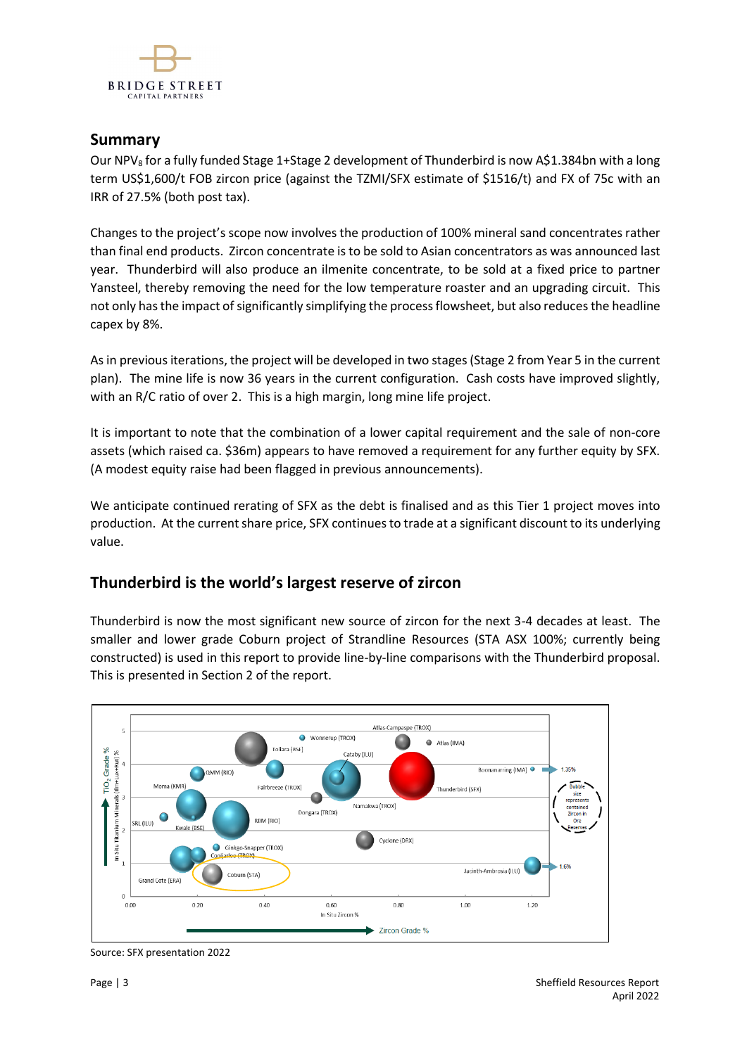

## **Summary**

Our NPV<sub>8</sub> for a fully funded Stage 1+Stage 2 development of Thunderbird is now A\$1.384bn with a long term US\$1,600/t FOB zircon price (against the TZMI/SFX estimate of \$1516/t) and FX of 75c with an IRR of 27.5% (both post tax).

Changes to the project's scope now involves the production of 100% mineral sand concentrates rather than final end products. Zircon concentrate is to be sold to Asian concentrators as was announced last year. Thunderbird will also produce an ilmenite concentrate, to be sold at a fixed price to partner Yansteel, thereby removing the need for the low temperature roaster and an upgrading circuit. This not only has the impact of significantly simplifying the process flowsheet, but also reducesthe headline capex by 8%.

As in previous iterations, the project will be developed in two stages (Stage 2 from Year 5 in the current plan). The mine life is now 36 years in the current configuration. Cash costs have improved slightly, with an R/C ratio of over 2. This is a high margin, long mine life project.

It is important to note that the combination of a lower capital requirement and the sale of non-core assets (which raised ca. \$36m) appears to have removed a requirement for any further equity by SFX. (A modest equity raise had been flagged in previous announcements).

We anticipate continued rerating of SFX as the debt is finalised and as this Tier 1 project moves into production. At the current share price, SFX continues to trade at a significant discount to its underlying value.

## **Thunderbird is the world's largest reserve of zircon**

Thunderbird is now the most significant new source of zircon for the next 3-4 decades at least. The smaller and lower grade Coburn project of Strandline Resources (STA ASX 100%; currently being constructed) is used in this report to provide line-by-line comparisons with the Thunderbird proposal. This is presented in Section 2 of the report.



Source: SFX presentation 2022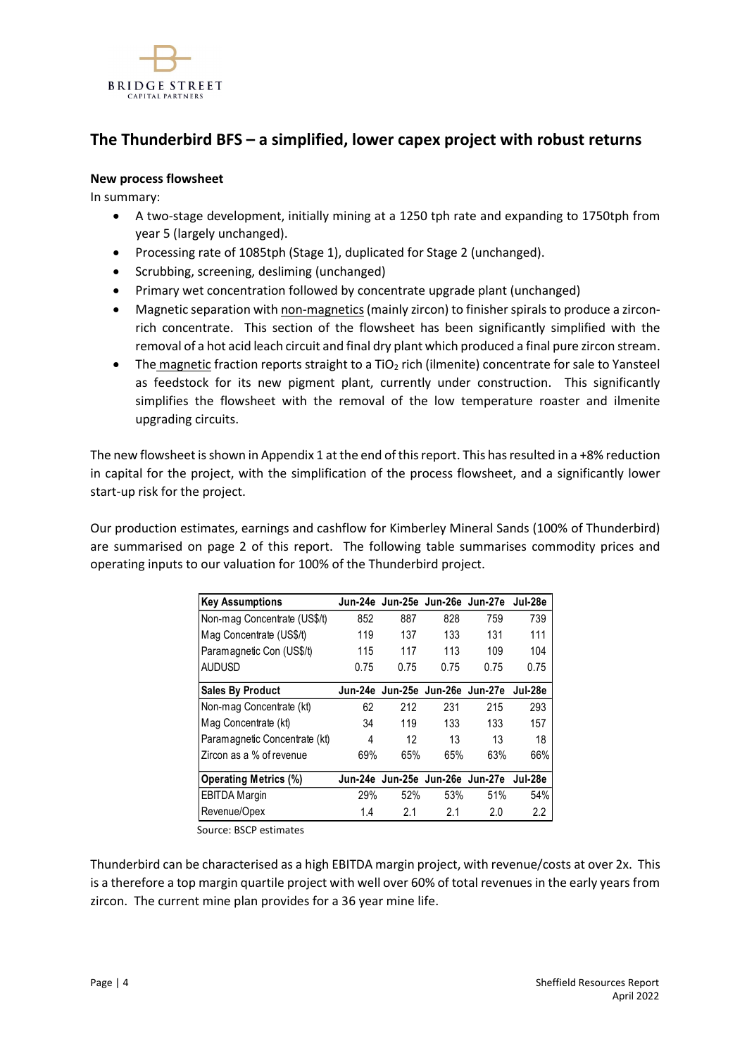

# **The Thunderbird BFS – a simplified, lower capex project with robust returns**

## **New process flowsheet**

In summary:

- A two-stage development, initially mining at a 1250 tph rate and expanding to 1750tph from year 5 (largely unchanged).
- Processing rate of 1085tph (Stage 1), duplicated for Stage 2 (unchanged).
- Scrubbing, screening, desliming (unchanged)
- Primary wet concentration followed by concentrate upgrade plant (unchanged)
- Magnetic separation with non-magnetics(mainly zircon) to finisher spirals to produce a zirconrich concentrate. This section of the flowsheet has been significantly simplified with the removal of a hot acid leach circuit and final dry plant which produced a final pure zircon stream.
- The magnetic fraction reports straight to a  $TiO<sub>2</sub>$  rich (ilmenite) concentrate for sale to Yansteel as feedstock for its new pigment plant, currently under construction. This significantly simplifies the flowsheet with the removal of the low temperature roaster and ilmenite upgrading circuits.

The new flowsheet is shown in Appendix 1 at the end of this report. This has resulted in a +8% reduction in capital for the project, with the simplification of the process flowsheet, and a significantly lower start-up risk for the project.

Our production estimates, earnings and cashflow for Kimberley Mineral Sands (100% of Thunderbird) are summarised on page 2 of this report. The following table summarises commodity prices and operating inputs to our valuation for 100% of the Thunderbird project.

| <b>Key Assumptions</b>        |      | Jun-24e Jun-25e Jun-26e Jun-27e |      |      | Jul-28e          |
|-------------------------------|------|---------------------------------|------|------|------------------|
| Non-mag Concentrate (US\$/t)  | 852  | 887                             | 828  | 759  | 739              |
| Mag Concentrate (US\$/t)      | 119  | 137                             | 133  | 131  | 111              |
| Paramagnetic Con (US\$/t)     | 115  | 117                             | 113  | 109  | 104              |
| <b>AUDUSD</b>                 | 0.75 | 0.75                            | 0.75 | 0.75 | 0.75             |
| <b>Sales By Product</b>       |      | Jun-24e Jun-25e Jun-26e Jun-27e |      |      | Jul-28e          |
| Non-mag Concentrate (kt)      | 62   | 212                             | 231  | 215  | 293              |
| Mag Concentrate (kt)          | 34   | 119                             | 133  | 133  | 157              |
| Paramagnetic Concentrate (kt) | 4    | 12                              | 13   | 13   | 18               |
| Zircon as a % of revenue      | 69%  | 65%                             | 65%  | 63%  | 66%              |
| <b>Operating Metrics (%)</b>  |      | Jun-24e Jun-25e Jun-26e Jun-27e |      |      | Jul-28e          |
| <b>EBITDA Margin</b>          | 29%  | 52%                             | 53%  | 51%  | 54%              |
| Revenue/Opex                  | 1.4  | 2.1                             | 2.1  | 2.0  | $2.2\phantom{0}$ |

Source: BSCP estimates

Thunderbird can be characterised as a high EBITDA margin project, with revenue/costs at over 2x. This is a therefore a top margin quartile project with well over 60% of total revenues in the early years from zircon. The current mine plan provides for a 36 year mine life.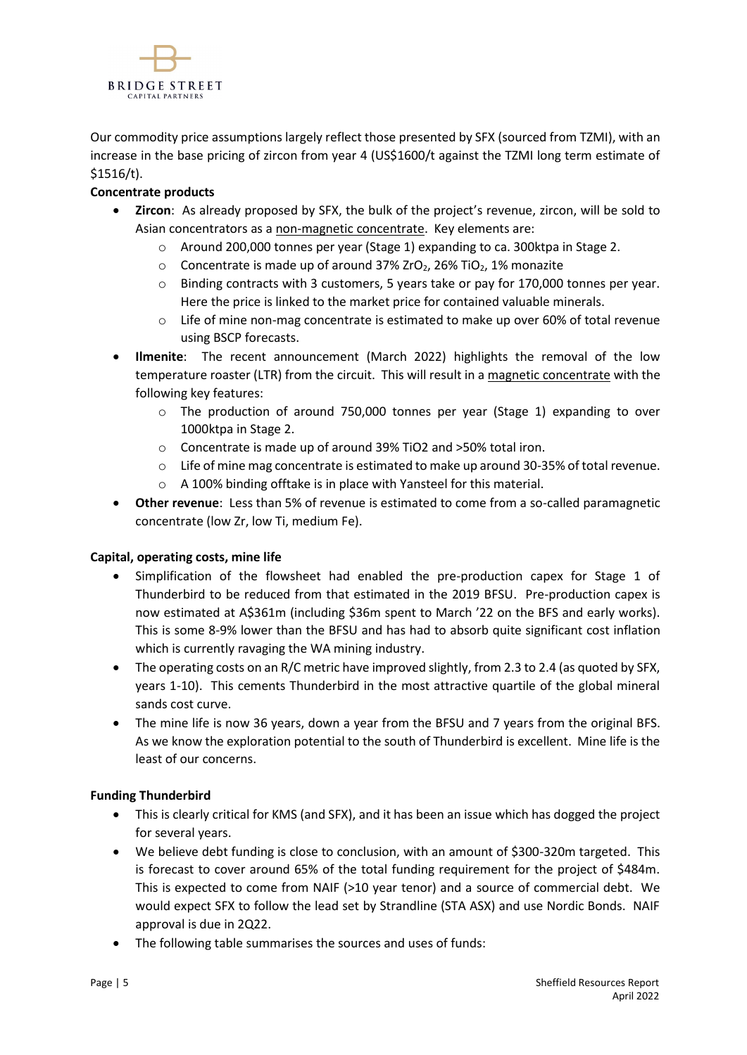

Our commodity price assumptions largely reflect those presented by SFX (sourced from TZMI), with an increase in the base pricing of zircon from year 4 (US\$1600/t against the TZMI long term estimate of \$1516/t).

## **Concentrate products**

- **Zircon**: As already proposed by SFX, the bulk of the project's revenue, zircon, will be sold to Asian concentrators as a non-magnetic concentrate. Key elements are:
	- o Around 200,000 tonnes per year (Stage 1) expanding to ca. 300ktpa in Stage 2.
	- $\circ$  Concentrate is made up of around 37% ZrO<sub>2</sub>, 26% TiO<sub>2</sub>, 1% monazite
	- $\circ$  Binding contracts with 3 customers, 5 years take or pay for 170,000 tonnes per year. Here the price is linked to the market price for contained valuable minerals.
	- $\circ$  Life of mine non-mag concentrate is estimated to make up over 60% of total revenue using BSCP forecasts.
- **Ilmenite**: The recent announcement (March 2022) highlights the removal of the low temperature roaster (LTR) from the circuit. This will result in a magnetic concentrate with the following key features:
	- o The production of around 750,000 tonnes per year (Stage 1) expanding to over 1000ktpa in Stage 2.
	- o Concentrate is made up of around 39% TiO2 and >50% total iron.
	- o Life of mine mag concentrate is estimated to make up around 30-35% of total revenue.
	- o A 100% binding offtake is in place with Yansteel for this material.
- **Other revenue**: Less than 5% of revenue is estimated to come from a so-called paramagnetic concentrate (low Zr, low Ti, medium Fe).

## **Capital, operating costs, mine life**

- Simplification of the flowsheet had enabled the pre-production capex for Stage 1 of Thunderbird to be reduced from that estimated in the 2019 BFSU. Pre-production capex is now estimated at A\$361m (including \$36m spent to March '22 on the BFS and early works). This is some 8-9% lower than the BFSU and has had to absorb quite significant cost inflation which is currently ravaging the WA mining industry.
- The operating costs on an R/C metric have improved slightly, from 2.3 to 2.4 (as quoted by SFX, years 1-10). This cements Thunderbird in the most attractive quartile of the global mineral sands cost curve.
- The mine life is now 36 years, down a year from the BFSU and 7 years from the original BFS. As we know the exploration potential to the south of Thunderbird is excellent. Mine life is the least of our concerns.

## **Funding Thunderbird**

- This is clearly critical for KMS (and SFX), and it has been an issue which has dogged the project for several years.
- We believe debt funding is close to conclusion, with an amount of \$300-320m targeted. This is forecast to cover around 65% of the total funding requirement for the project of \$484m. This is expected to come from NAIF (>10 year tenor) and a source of commercial debt. We would expect SFX to follow the lead set by Strandline (STA ASX) and use Nordic Bonds. NAIF approval is due in 2Q22.
- The following table summarises the sources and uses of funds: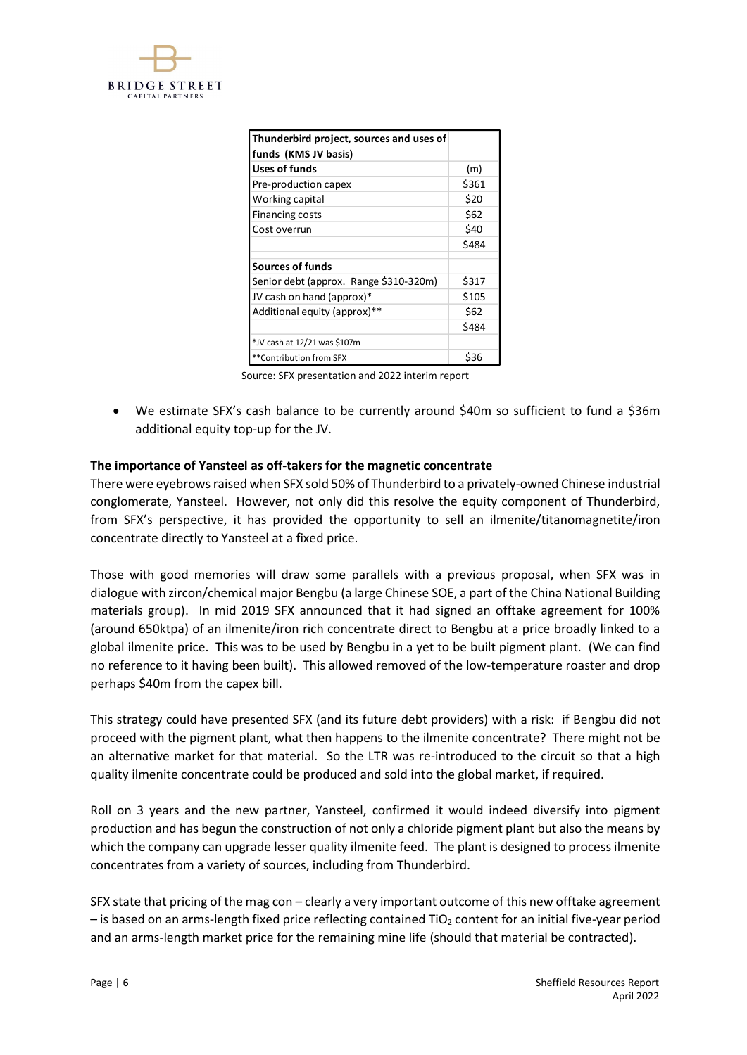

| Thunderbird project, sources and uses of<br> funds (KMS JV basis) |       |
|-------------------------------------------------------------------|-------|
| Uses of funds                                                     | (m)   |
| Pre-production capex                                              | \$361 |
| Working capital                                                   | \$20  |
| Financing costs                                                   | \$62  |
| l Cost overrun                                                    | \$40  |
|                                                                   | \$484 |
| l Sources of funds                                                |       |
| Senior debt (approx. Range \$310-320m)                            | \$317 |
| JV cash on hand (approx)*                                         | \$105 |
| Additional equity (approx)**                                      | \$62  |
|                                                                   | \$484 |
| *JV cash at 12/21 was \$107m                                      |       |
| **Contribution from SFX                                           | \$36  |

Source: SFX presentation and 2022 interim report

• We estimate SFX's cash balance to be currently around \$40m so sufficient to fund a \$36m additional equity top-up for the JV.

## **The importance of Yansteel as off-takers for the magnetic concentrate**

There were eyebrows raised when SFX sold 50% of Thunderbird to a privately-owned Chinese industrial conglomerate, Yansteel. However, not only did this resolve the equity component of Thunderbird, from SFX's perspective, it has provided the opportunity to sell an ilmenite/titanomagnetite/iron concentrate directly to Yansteel at a fixed price.

Those with good memories will draw some parallels with a previous proposal, when SFX was in dialogue with zircon/chemical major Bengbu (a large Chinese SOE, a part of the China National Building materials group). In mid 2019 SFX announced that it had signed an offtake agreement for 100% (around 650ktpa) of an ilmenite/iron rich concentrate direct to Bengbu at a price broadly linked to a global ilmenite price. This was to be used by Bengbu in a yet to be built pigment plant. (We can find no reference to it having been built). This allowed removed of the low-temperature roaster and drop perhaps \$40m from the capex bill.

This strategy could have presented SFX (and its future debt providers) with a risk: if Bengbu did not proceed with the pigment plant, what then happens to the ilmenite concentrate? There might not be an alternative market for that material. So the LTR was re-introduced to the circuit so that a high quality ilmenite concentrate could be produced and sold into the global market, if required.

Roll on 3 years and the new partner, Yansteel, confirmed it would indeed diversify into pigment production and has begun the construction of not only a chloride pigment plant but also the means by which the company can upgrade lesser quality ilmenite feed. The plant is designed to process ilmenite concentrates from a variety of sources, including from Thunderbird.

SFX state that pricing of the mag con – clearly a very important outcome of this new offtake agreement  $-$  is based on an arms-length fixed price reflecting contained TiO<sub>2</sub> content for an initial five-year period and an arms-length market price for the remaining mine life (should that material be contracted).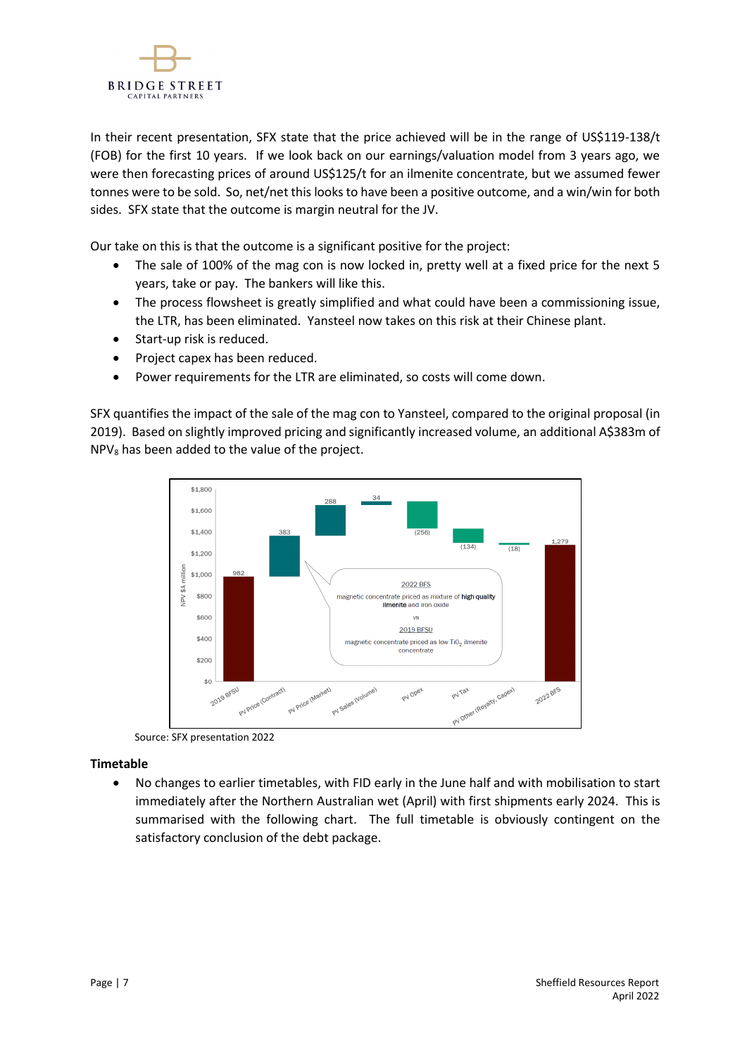

In their recent presentation, SFX state that the price achieved will be in the range of US\$119-138/t (FOB) for the first 10 years. If we look back on our earnings/valuation model from 3 years ago, we were then forecasting prices of around US\$125/t for an ilmenite concentrate, but we assumed fewer tonnes were to be sold. So, net/net this looks to have been a positive outcome, and a win/win for both sides. SFX state that the outcome is margin neutral for the JV.

Our take on this is that the outcome is a significant positive for the project:

- The sale of 100% of the mag con is now locked in, pretty well at a fixed price for the next 5 years, take or pay. The bankers will like this.
- The process flowsheet is greatly simplified and what could have been a commissioning issue, the LTR, has been eliminated. Yansteel now takes on this risk at their Chinese plant.
- Start-up risk is reduced.
- Project capex has been reduced.
- Power requirements for the LTR are eliminated, so costs will come down.

SFX quantifies the impact of the sale of the mag con to Yansteel, compared to the original proposal (in 2019). Based on slightly improved pricing and significantly increased volume, an additional A\$383m of  $NPV<sub>8</sub>$  has been added to the value of the project.



Source: SFX presentation 2022

## **Timetable**

• No changes to earlier timetables, with FID early in the June half and with mobilisation to start immediately after the Northern Australian wet (April) with first shipments early 2024. This is summarised with the following chart. The full timetable is obviously contingent on the satisfactory conclusion of the debt package.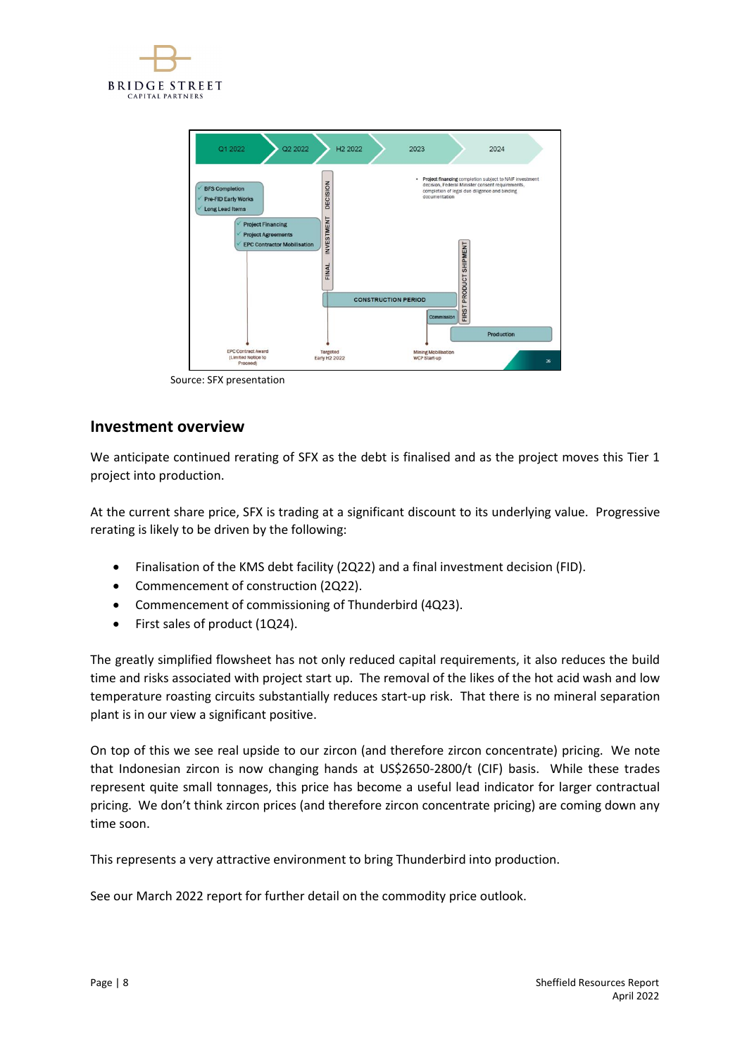



Source: SFX presentation

## **Investment overview**

We anticipate continued rerating of SFX as the debt is finalised and as the project moves this Tier 1 project into production.

At the current share price, SFX is trading at a significant discount to its underlying value. Progressive rerating is likely to be driven by the following:

- Finalisation of the KMS debt facility (2Q22) and a final investment decision (FID).
- Commencement of construction (2Q22).
- Commencement of commissioning of Thunderbird (4Q23).
- First sales of product (1Q24).

The greatly simplified flowsheet has not only reduced capital requirements, it also reduces the build time and risks associated with project start up. The removal of the likes of the hot acid wash and low temperature roasting circuits substantially reduces start-up risk. That there is no mineral separation plant is in our view a significant positive.

On top of this we see real upside to our zircon (and therefore zircon concentrate) pricing. We note that Indonesian zircon is now changing hands at US\$2650-2800/t (CIF) basis. While these trades represent quite small tonnages, this price has become a useful lead indicator for larger contractual pricing. We don't think zircon prices (and therefore zircon concentrate pricing) are coming down any time soon.

This represents a very attractive environment to bring Thunderbird into production.

See our March 2022 report for further detail on the commodity price outlook.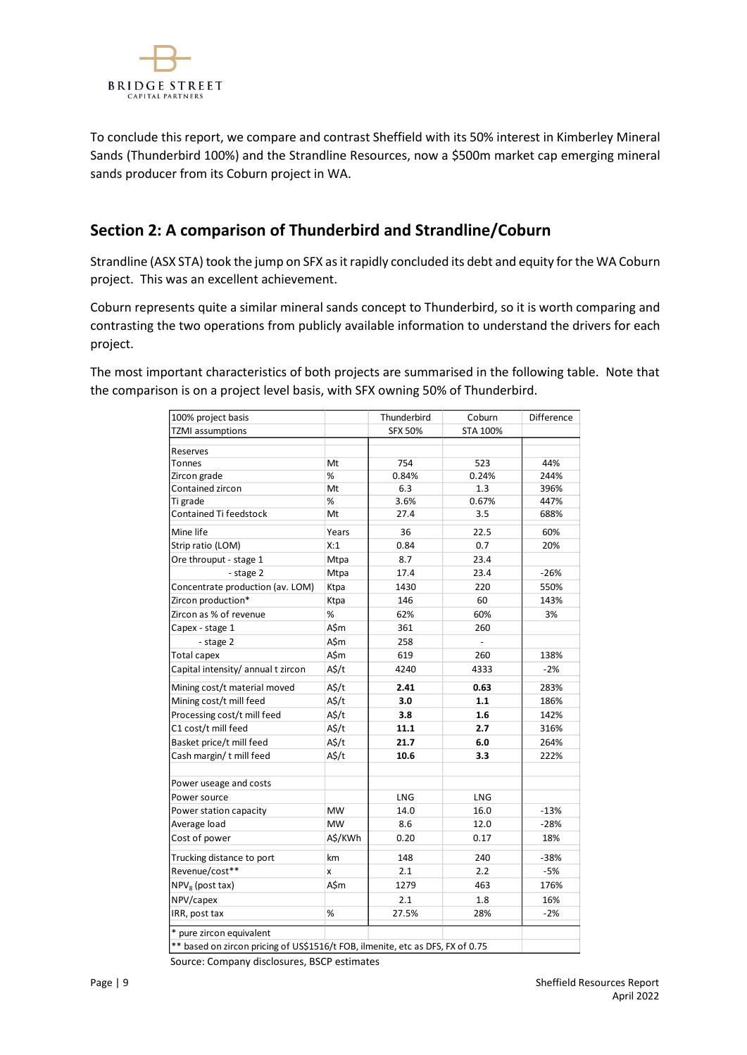

To conclude this report, we compare and contrast Sheffield with its 50% interest in Kimberley Mineral Sands (Thunderbird 100%) and the Strandline Resources, now a \$500m market cap emerging mineral sands producer from its Coburn project in WA.

# **Section 2: A comparison of Thunderbird and Strandline/Coburn**

Strandline (ASX STA) took the jump on SFX as it rapidly concluded its debt and equity for the WA Coburn project. This was an excellent achievement.

Coburn represents quite a similar mineral sands concept to Thunderbird, so it is worth comparing and contrasting the two operations from publicly available information to understand the drivers for each project.

The most important characteristics of both projects are summarised in the following table. Note that the comparison is on a project level basis, with SFX owning 50% of Thunderbird.

| 100% project basis                                                             |                   | Thunderbird    | Coburn              | <b>Difference</b> |
|--------------------------------------------------------------------------------|-------------------|----------------|---------------------|-------------------|
| <b>TZMI</b> assumptions                                                        |                   | <b>SFX 50%</b> | <b>STA 100%</b>     |                   |
| Reserves                                                                       |                   |                |                     |                   |
| <b>Tonnes</b>                                                                  | Mt                | 754            | 523                 | 44%               |
| Zircon grade                                                                   | %                 | 0.84%          | 0.24%               | 244%              |
| Contained zircon                                                               | Mt                | 6.3            | 1.3                 | 396%              |
| Ti grade                                                                       | %                 | 3.6%           | 0.67%               | 447%              |
| Contained Ti feedstock                                                         | Mt                | 27.4           | 3.5                 | 688%              |
| Mine life                                                                      | Years             | 36             | 22.5                | 60%               |
| Strip ratio (LOM)                                                              | X:1               | 0.84           | 0.7                 | 20%               |
| Ore throuput - stage 1                                                         | Mtpa              | 8.7            | 23.4                |                   |
| - stage 2                                                                      | Mtpa              | 17.4           | 23.4                | $-26%$            |
| Concentrate production (av. LOM)                                               | Ktpa              | 1430           | 220                 | 550%              |
| Zircon production*                                                             | Ktpa              | 146            | 60                  | 143%              |
| Zircon as % of revenue                                                         | %                 | 62%            | 60%                 | 3%                |
| Capex - stage 1                                                                | A\$m              | 361            | 260                 |                   |
| - stage 2                                                                      | A\$m              | 258            | $\bar{\phantom{a}}$ |                   |
| Total capex                                                                    | A\$m              | 619            | 260                 | 138%              |
| Capital intensity/ annual t zircon                                             | A\$/t             | 4240           | 4333                | $-2%$             |
| Mining cost/t material moved                                                   | $A\frac{2}{3}$ /t | 2.41           | 0.63                | 283%              |
| Mining cost/t mill feed                                                        | A\$/t             | 3.0            | 1.1                 | 186%              |
| Processing cost/t mill feed                                                    | A\$/t             | 3.8            | 1.6                 | 142%              |
| C1 cost/t mill feed                                                            | $A\frac{2}{3}$ /t | 11.1           | 2.7                 | 316%              |
| Basket price/t mill feed                                                       | $A\frac{2}{3}$ /t | 21.7           | 6.0                 | 264%              |
| Cash margin/ t mill feed                                                       | $A\frac{2}{3}$ /t | 10.6           | 3.3                 | 222%              |
|                                                                                |                   |                |                     |                   |
| Power useage and costs                                                         |                   |                |                     |                   |
| Power source                                                                   |                   | LNG            | LNG                 |                   |
| Power station capacity                                                         | <b>MW</b>         | 14.0           | 16.0                | $-13%$            |
| Average load                                                                   | <b>MW</b>         | 8.6            | 12.0                | $-28%$            |
| Cost of power                                                                  | A\$/KWh           | 0.20           | 0.17                | 18%               |
| Trucking distance to port                                                      | km                | 148            | 240                 | $-38%$            |
| Revenue/cost**                                                                 | X                 | 2.1            | 2.2                 | $-5%$             |
| NPV <sub>8</sub> (post tax)                                                    | A\$m              | 1279           | 463                 | 176%              |
| NPV/capex                                                                      |                   | 2.1            | 1.8                 | 16%               |
| IRR, post tax                                                                  | %                 | 27.5%          | 28%                 | $-2%$             |
| * pure zircon equivalent                                                       |                   |                |                     |                   |
| ** based on zircon pricing of US\$1516/t FOB, ilmenite, etc as DFS, FX of 0.75 |                   |                |                     |                   |
| Source: Company disclosures, BSCP estimates                                    |                   |                |                     |                   |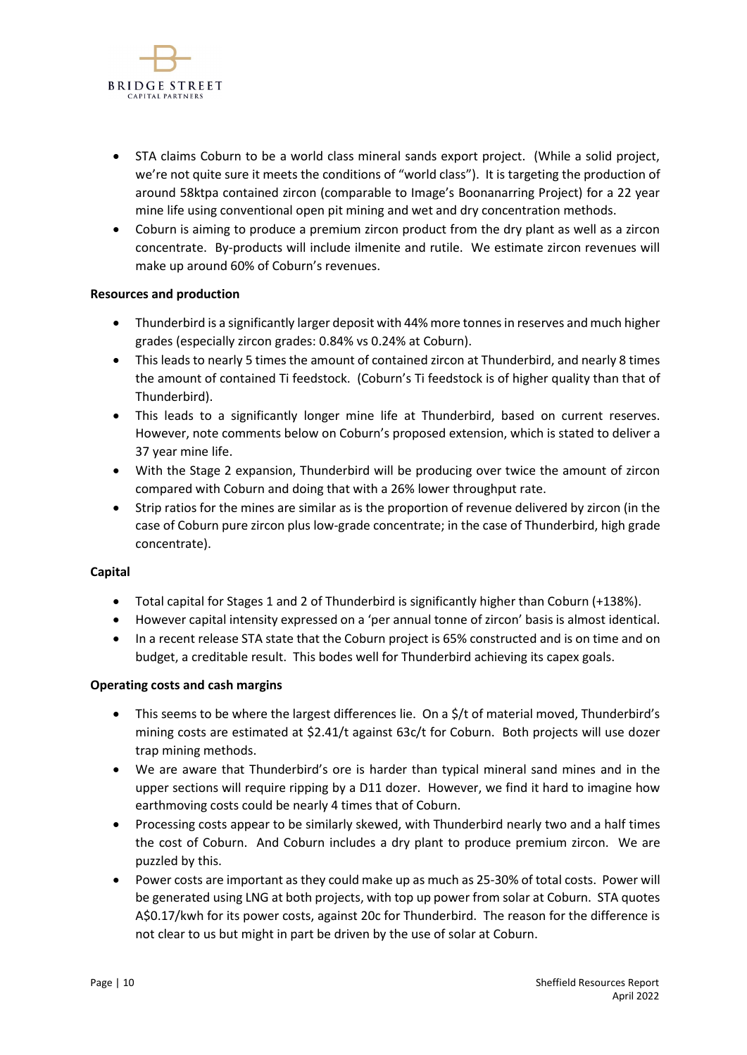

- STA claims Coburn to be a world class mineral sands export project. (While a solid project, we're not quite sure it meets the conditions of "world class"). It is targeting the production of around 58ktpa contained zircon (comparable to Image's Boonanarring Project) for a 22 year mine life using conventional open pit mining and wet and dry concentration methods.
- Coburn is aiming to produce a premium zircon product from the dry plant as well as a zircon concentrate. By-products will include ilmenite and rutile. We estimate zircon revenues will make up around 60% of Coburn's revenues.

## **Resources and production**

- Thunderbird is a significantly larger deposit with 44% more tonnes in reserves and much higher grades (especially zircon grades: 0.84% vs 0.24% at Coburn).
- This leads to nearly 5 times the amount of contained zircon at Thunderbird, and nearly 8 times the amount of contained Ti feedstock. (Coburn's Ti feedstock is of higher quality than that of Thunderbird).
- This leads to a significantly longer mine life at Thunderbird, based on current reserves. However, note comments below on Coburn's proposed extension, which is stated to deliver a 37 year mine life.
- With the Stage 2 expansion, Thunderbird will be producing over twice the amount of zircon compared with Coburn and doing that with a 26% lower throughput rate.
- Strip ratios for the mines are similar as is the proportion of revenue delivered by zircon (in the case of Coburn pure zircon plus low-grade concentrate; in the case of Thunderbird, high grade concentrate).

## **Capital**

- Total capital for Stages 1 and 2 of Thunderbird is significantly higher than Coburn (+138%).
- However capital intensity expressed on a 'per annual tonne of zircon' basis is almost identical.
- In a recent release STA state that the Coburn project is 65% constructed and is on time and on budget, a creditable result. This bodes well for Thunderbird achieving its capex goals.

## **Operating costs and cash margins**

- This seems to be where the largest differences lie. On a \$/t of material moved, Thunderbird's mining costs are estimated at \$2.41/t against 63c/t for Coburn. Both projects will use dozer trap mining methods.
- We are aware that Thunderbird's ore is harder than typical mineral sand mines and in the upper sections will require ripping by a D11 dozer. However, we find it hard to imagine how earthmoving costs could be nearly 4 times that of Coburn.
- Processing costs appear to be similarly skewed, with Thunderbird nearly two and a half times the cost of Coburn. And Coburn includes a dry plant to produce premium zircon. We are puzzled by this.
- Power costs are important as they could make up as much as 25-30% of total costs. Power will be generated using LNG at both projects, with top up power from solar at Coburn. STA quotes A\$0.17/kwh for its power costs, against 20c for Thunderbird. The reason for the difference is not clear to us but might in part be driven by the use of solar at Coburn.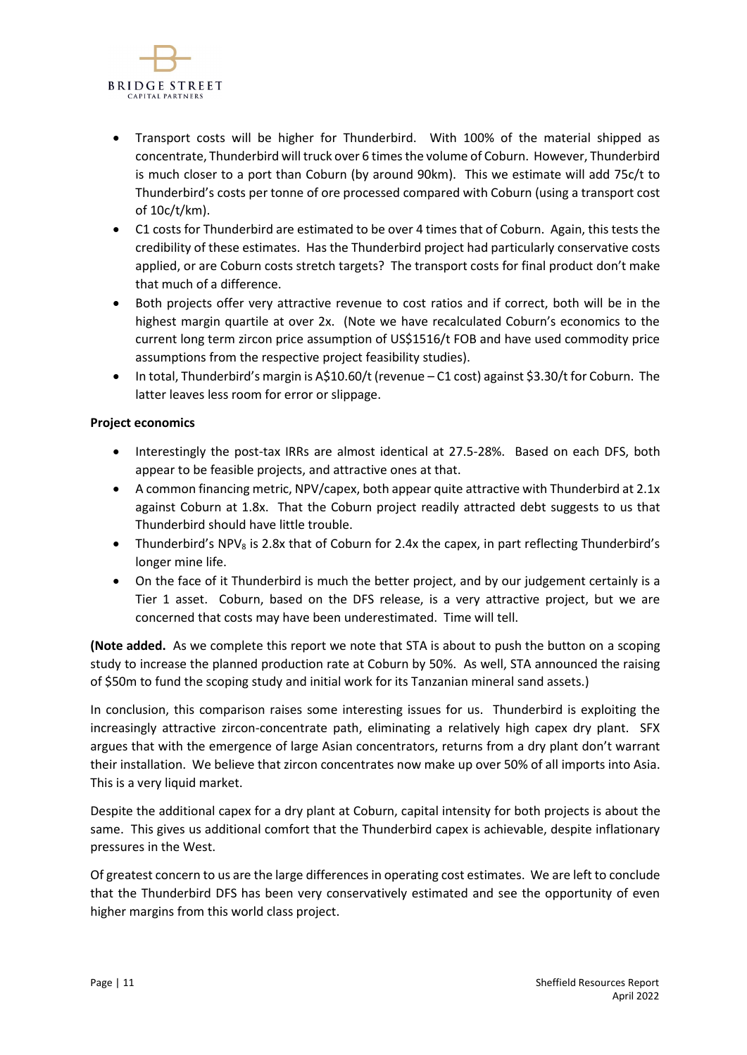

- Transport costs will be higher for Thunderbird. With 100% of the material shipped as concentrate, Thunderbird will truck over 6 times the volume of Coburn. However, Thunderbird is much closer to a port than Coburn (by around 90km). This we estimate will add 75c/t to Thunderbird's costs per tonne of ore processed compared with Coburn (using a transport cost of 10c/t/km).
- C1 costs for Thunderbird are estimated to be over 4 times that of Coburn. Again, this tests the credibility of these estimates. Has the Thunderbird project had particularly conservative costs applied, or are Coburn costs stretch targets? The transport costs for final product don't make that much of a difference.
- Both projects offer very attractive revenue to cost ratios and if correct, both will be in the highest margin quartile at over 2x. (Note we have recalculated Coburn's economics to the current long term zircon price assumption of US\$1516/t FOB and have used commodity price assumptions from the respective project feasibility studies).
- In total, Thunderbird's margin is A\$10.60/t (revenue C1 cost) against \$3.30/t for Coburn. The latter leaves less room for error or slippage.

## **Project economics**

- Interestingly the post-tax IRRs are almost identical at 27.5-28%. Based on each DFS, both appear to be feasible projects, and attractive ones at that.
- A common financing metric, NPV/capex, both appear quite attractive with Thunderbird at 2.1x against Coburn at 1.8x. That the Coburn project readily attracted debt suggests to us that Thunderbird should have little trouble.
- Thunderbird's NPV<sub>8</sub> is 2.8x that of Coburn for 2.4x the capex, in part reflecting Thunderbird's longer mine life.
- On the face of it Thunderbird is much the better project, and by our judgement certainly is a Tier 1 asset. Coburn, based on the DFS release, is a very attractive project, but we are concerned that costs may have been underestimated. Time will tell.

**(Note added.** As we complete this report we note that STA is about to push the button on a scoping study to increase the planned production rate at Coburn by 50%. As well, STA announced the raising of \$50m to fund the scoping study and initial work for its Tanzanian mineral sand assets.)

In conclusion, this comparison raises some interesting issues for us. Thunderbird is exploiting the increasingly attractive zircon-concentrate path, eliminating a relatively high capex dry plant. SFX argues that with the emergence of large Asian concentrators, returns from a dry plant don't warrant their installation. We believe that zircon concentrates now make up over 50% of all imports into Asia. This is a very liquid market.

Despite the additional capex for a dry plant at Coburn, capital intensity for both projects is about the same. This gives us additional comfort that the Thunderbird capex is achievable, despite inflationary pressures in the West.

Of greatest concern to us are the large differences in operating cost estimates. We are left to conclude that the Thunderbird DFS has been very conservatively estimated and see the opportunity of even higher margins from this world class project.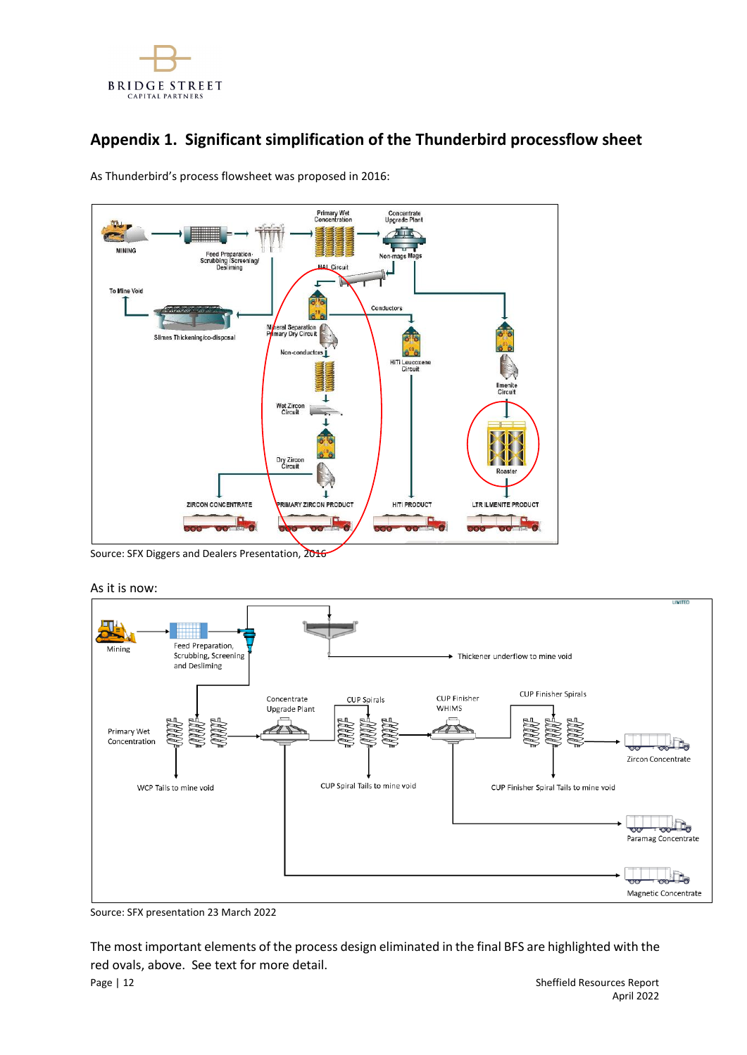

# **Appendix 1. Significant simplification of the Thunderbird processflow sheet**

As Thunderbird's process flowsheet was proposed in 2016:



Source: SFX Diggers and Dealers Presentation, 2016

As it is now:



Source: SFX presentation 23 March 2022

Page | 12 Sheffield Resources Report The most important elements of the process design eliminated in the final BFS are highlighted with the red ovals, above. See text for more detail.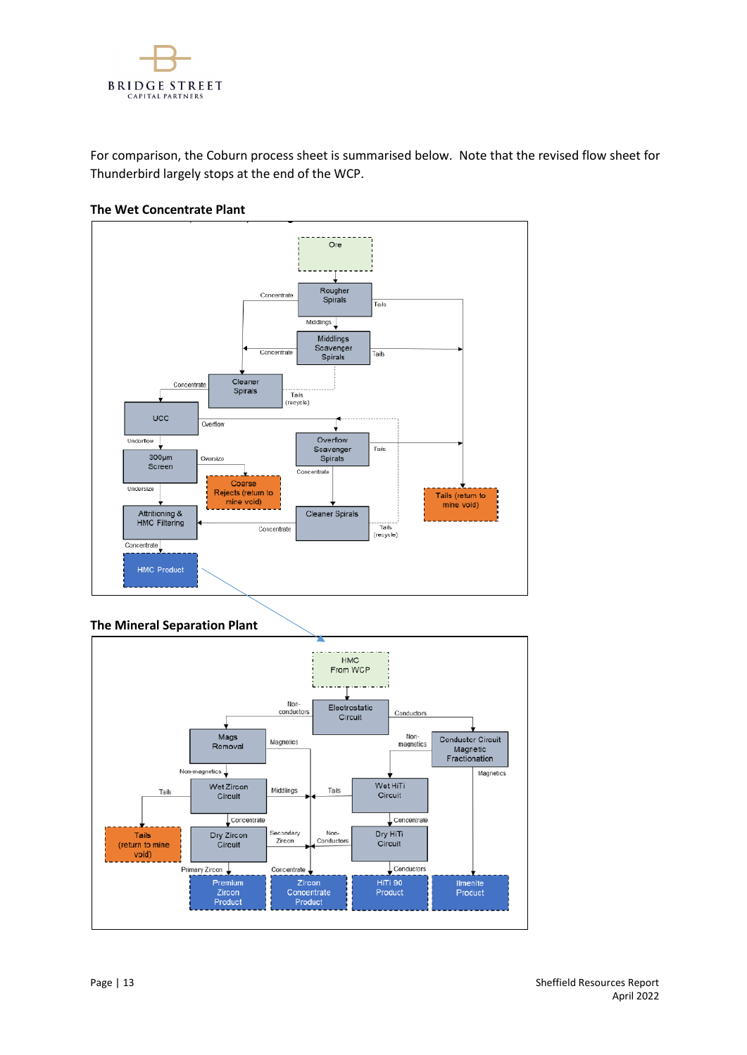

For comparison, the Coburn process sheet is summarised below. Note that the revised flow sheet for Thunderbird largely stops at the end of the WCP.



## **The Wet Concentrate Plant**



**The Mineral Separation Plant**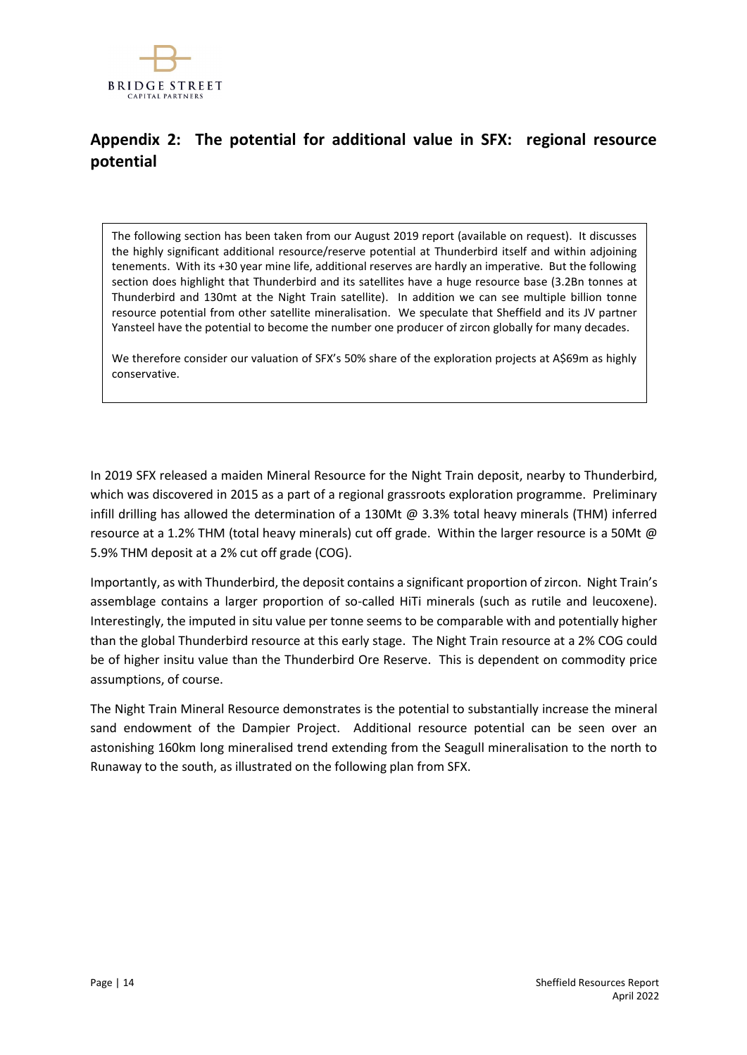

# **Appendix 2: The potential for additional value in SFX: regional resource potential**

The following section has been taken from our August 2019 report (available on request). It discusses the highly significant additional resource/reserve potential at Thunderbird itself and within adjoining tenements. With its +30 year mine life, additional reserves are hardly an imperative. But the following section does highlight that Thunderbird and its satellites have a huge resource base (3.2Bn tonnes at Thunderbird and 130mt at the Night Train satellite). In addition we can see multiple billion tonne resource potential from other satellite mineralisation. We speculate that Sheffield and its JV partner Yansteel have the potential to become the number one producer of zircon globally for many decades.

We therefore consider our valuation of SFX's 50% share of the exploration projects at A\$69m as highly conservative.

In 2019 SFX released a maiden Mineral Resource for the Night Train deposit, nearby to Thunderbird, which was discovered in 2015 as a part of a regional grassroots exploration programme. Preliminary infill drilling has allowed the determination of a 130Mt @ 3.3% total heavy minerals (THM) inferred resource at a 1.2% THM (total heavy minerals) cut off grade. Within the larger resource is a 50Mt @ 5.9% THM deposit at a 2% cut off grade (COG).

Importantly, as with Thunderbird, the deposit contains a significant proportion of zircon. Night Train's assemblage contains a larger proportion of so-called HiTi minerals (such as rutile and leucoxene). Interestingly, the imputed in situ value per tonne seems to be comparable with and potentially higher than the global Thunderbird resource at this early stage. The Night Train resource at a 2% COG could be of higher insitu value than the Thunderbird Ore Reserve. This is dependent on commodity price assumptions, of course.

The Night Train Mineral Resource demonstrates is the potential to substantially increase the mineral sand endowment of the Dampier Project. Additional resource potential can be seen over an astonishing 160km long mineralised trend extending from the Seagull mineralisation to the north to Runaway to the south, as illustrated on the following plan from SFX.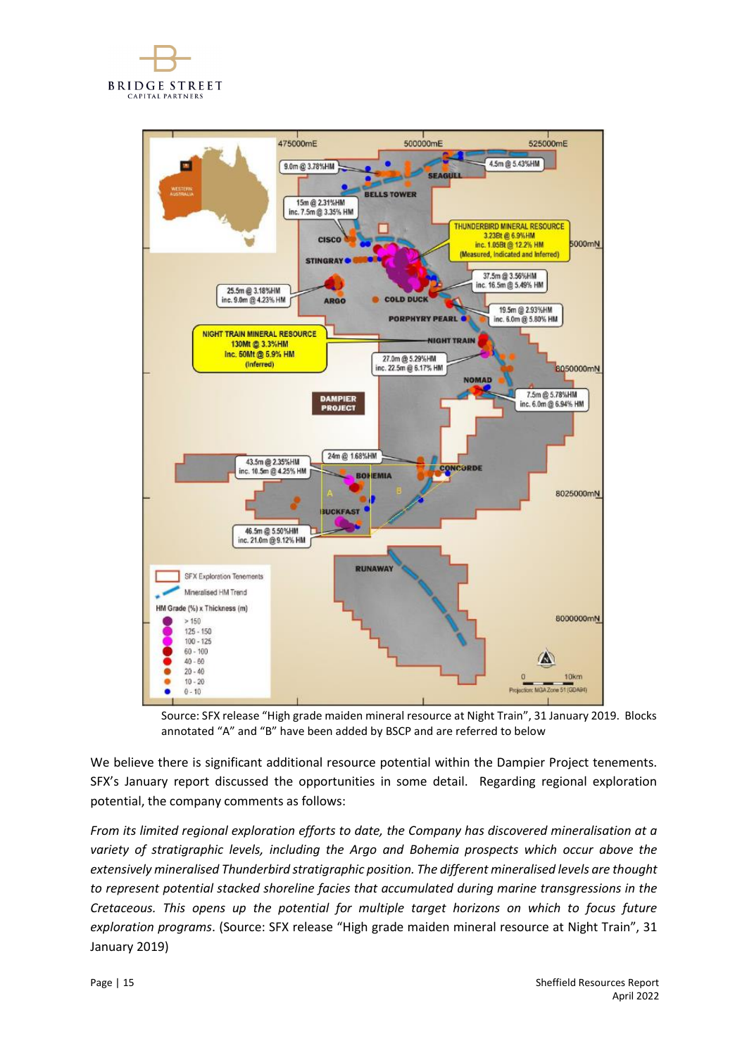



Source: SFX release "High grade maiden mineral resource at Night Train", 31 January 2019. Blocks annotated "A" and "B" have been added by BSCP and are referred to below

We believe there is significant additional resource potential within the Dampier Project tenements. SFX's January report discussed the opportunities in some detail. Regarding regional exploration potential, the company comments as follows:

*From its limited regional exploration efforts to date, the Company has discovered mineralisation at a variety of stratigraphic levels, including the Argo and Bohemia prospects which occur above the extensively mineralised Thunderbird stratigraphic position. The different mineralised levels are thought to represent potential stacked shoreline facies that accumulated during marine transgressions in the Cretaceous. This opens up the potential for multiple target horizons on which to focus future exploration programs*. (Source: SFX release "High grade maiden mineral resource at Night Train", 31 January 2019)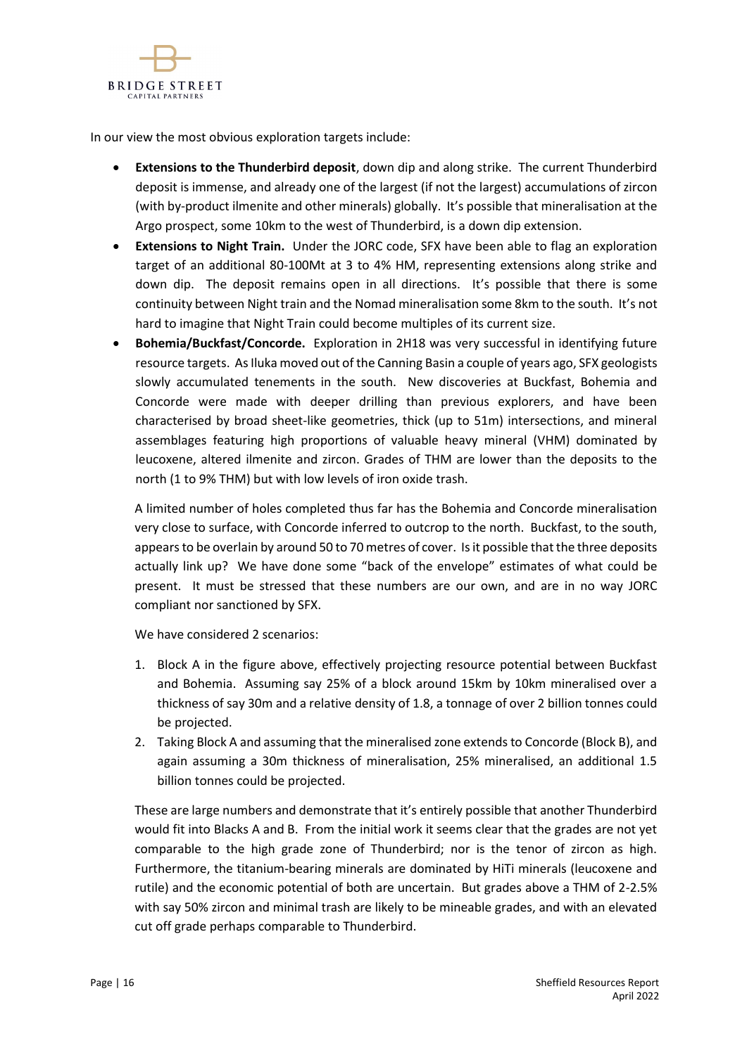

In our view the most obvious exploration targets include:

- **Extensions to the Thunderbird deposit**, down dip and along strike. The current Thunderbird deposit is immense, and already one of the largest (if not the largest) accumulations of zircon (with by-product ilmenite and other minerals) globally. It's possible that mineralisation at the Argo prospect, some 10km to the west of Thunderbird, is a down dip extension.
- **Extensions to Night Train.** Under the JORC code, SFX have been able to flag an exploration target of an additional 80-100Mt at 3 to 4% HM, representing extensions along strike and down dip. The deposit remains open in all directions. It's possible that there is some continuity between Night train and the Nomad mineralisation some 8km to the south. It's not hard to imagine that Night Train could become multiples of its current size.
- **Bohemia/Buckfast/Concorde.** Exploration in 2H18 was very successful in identifying future resource targets. As Iluka moved out of the Canning Basin a couple of years ago, SFX geologists slowly accumulated tenements in the south. New discoveries at Buckfast, Bohemia and Concorde were made with deeper drilling than previous explorers, and have been characterised by broad sheet-like geometries, thick (up to 51m) intersections, and mineral assemblages featuring high proportions of valuable heavy mineral (VHM) dominated by leucoxene, altered ilmenite and zircon. Grades of THM are lower than the deposits to the north (1 to 9% THM) but with low levels of iron oxide trash.

A limited number of holes completed thus far has the Bohemia and Concorde mineralisation very close to surface, with Concorde inferred to outcrop to the north. Buckfast, to the south, appears to be overlain by around 50 to 70 metres of cover. Is it possible that the three deposits actually link up? We have done some "back of the envelope" estimates of what could be present. It must be stressed that these numbers are our own, and are in no way JORC compliant nor sanctioned by SFX.

We have considered 2 scenarios:

- 1. Block A in the figure above, effectively projecting resource potential between Buckfast and Bohemia. Assuming say 25% of a block around 15km by 10km mineralised over a thickness of say 30m and a relative density of 1.8, a tonnage of over 2 billion tonnes could be projected.
- 2. Taking Block A and assuming that the mineralised zone extends to Concorde (Block B), and again assuming a 30m thickness of mineralisation, 25% mineralised, an additional 1.5 billion tonnes could be projected.

These are large numbers and demonstrate that it's entirely possible that another Thunderbird would fit into Blacks A and B. From the initial work it seems clear that the grades are not yet comparable to the high grade zone of Thunderbird; nor is the tenor of zircon as high. Furthermore, the titanium-bearing minerals are dominated by HiTi minerals (leucoxene and rutile) and the economic potential of both are uncertain. But grades above a THM of 2-2.5% with say 50% zircon and minimal trash are likely to be mineable grades, and with an elevated cut off grade perhaps comparable to Thunderbird.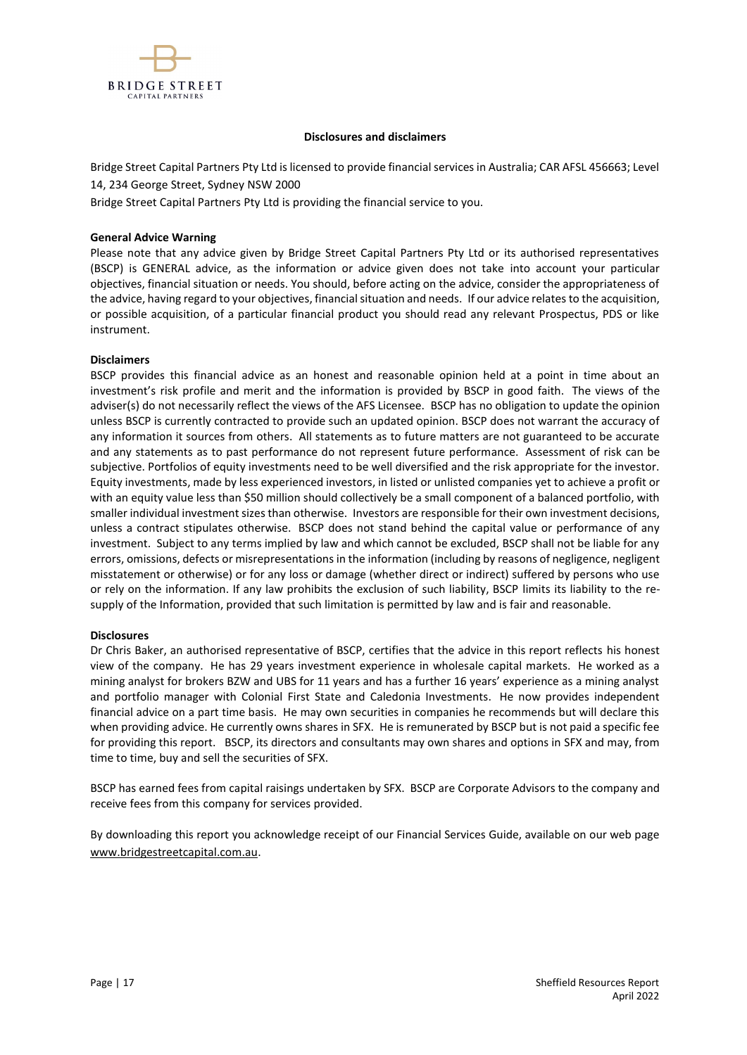

#### **Disclosures and disclaimers**

Bridge Street Capital Partners Pty Ltd is licensed to provide financial services in Australia; CAR AFSL 456663; Level 14, 234 George Street, Sydney NSW 2000

Bridge Street Capital Partners Pty Ltd is providing the financial service to you.

#### **General Advice Warning**

Please note that any advice given by Bridge Street Capital Partners Pty Ltd or its authorised representatives (BSCP) is GENERAL advice, as the information or advice given does not take into account your particular objectives, financial situation or needs. You should, before acting on the advice, consider the appropriateness of the advice, having regard to your objectives, financial situation and needs. If our advice relates to the acquisition, or possible acquisition, of a particular financial product you should read any relevant Prospectus, PDS or like instrument.

#### **Disclaimers**

BSCP provides this financial advice as an honest and reasonable opinion held at a point in time about an investment's risk profile and merit and the information is provided by BSCP in good faith. The views of the adviser(s) do not necessarily reflect the views of the AFS Licensee. BSCP has no obligation to update the opinion unless BSCP is currently contracted to provide such an updated opinion. BSCP does not warrant the accuracy of any information it sources from others. All statements as to future matters are not guaranteed to be accurate and any statements as to past performance do not represent future performance. Assessment of risk can be subjective. Portfolios of equity investments need to be well diversified and the risk appropriate for the investor. Equity investments, made by less experienced investors, in listed or unlisted companies yet to achieve a profit or with an equity value less than \$50 million should collectively be a small component of a balanced portfolio, with smaller individual investment sizes than otherwise. Investors are responsible for their own investment decisions, unless a contract stipulates otherwise. BSCP does not stand behind the capital value or performance of any investment. Subject to any terms implied by law and which cannot be excluded, BSCP shall not be liable for any errors, omissions, defects or misrepresentations in the information (including by reasons of negligence, negligent misstatement or otherwise) or for any loss or damage (whether direct or indirect) suffered by persons who use or rely on the information. If any law prohibits the exclusion of such liability, BSCP limits its liability to the resupply of the Information, provided that such limitation is permitted by law and is fair and reasonable.

### **Disclosures**

Dr Chris Baker, an authorised representative of BSCP, certifies that the advice in this report reflects his honest view of the company. He has 29 years investment experience in wholesale capital markets. He worked as a mining analyst for brokers BZW and UBS for 11 years and has a further 16 years' experience as a mining analyst and portfolio manager with Colonial First State and Caledonia Investments. He now provides independent financial advice on a part time basis. He may own securities in companies he recommends but will declare this when providing advice. He currently owns shares in SFX. He is remunerated by BSCP but is not paid a specific fee for providing this report. BSCP, its directors and consultants may own shares and options in SFX and may, from time to time, buy and sell the securities of SFX.

BSCP has earned fees from capital raisings undertaken by SFX. BSCP are Corporate Advisors to the company and receive fees from this company for services provided.

By downloading this report you acknowledge receipt of our Financial Services Guide, available on our web page [www.bridgestreetcapital.com.au.](http://www.bridgestreetcapital.com.au/)